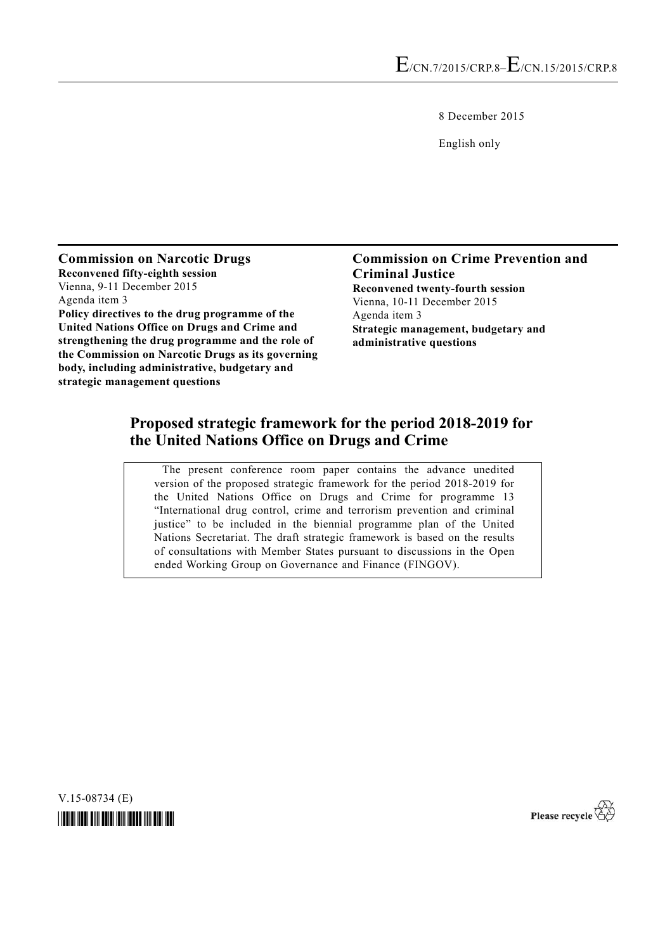8 December 2015

English only

**Commission on Narcotic Drugs Reconvened fifty-eighth session**  Vienna, 9-11 December 2015 Agenda item 3 **Policy directives to the drug programme of the United Nations Office on Drugs and Crime and strengthening the drug programme and the role of the Commission on Narcotic Drugs as its governing body, including administrative, budgetary and strategic management questions**

**Commission on Crime Prevention and Criminal Justice Reconvened twenty-fourth session**  Vienna, 10-11 December 2015 Agenda item 3 **Strategic management, budgetary and administrative questions**

# **Proposed strategic framework for the period 2018-2019 for the United Nations Office on Drugs and Crime**

 The present conference room paper contains the advance unedited version of the proposed strategic framework for the period 2018-2019 for the United Nations Office on Drugs and Crime for programme 13 "International drug control, crime and terrorism prevention and criminal justice" to be included in the biennial programme plan of the United Nations Secretariat. The draft strategic framework is based on the results of consultations with Member States pursuant to discussions in the Open ended Working Group on Governance and Finance (FINGOV).

V.15-08734 (E)



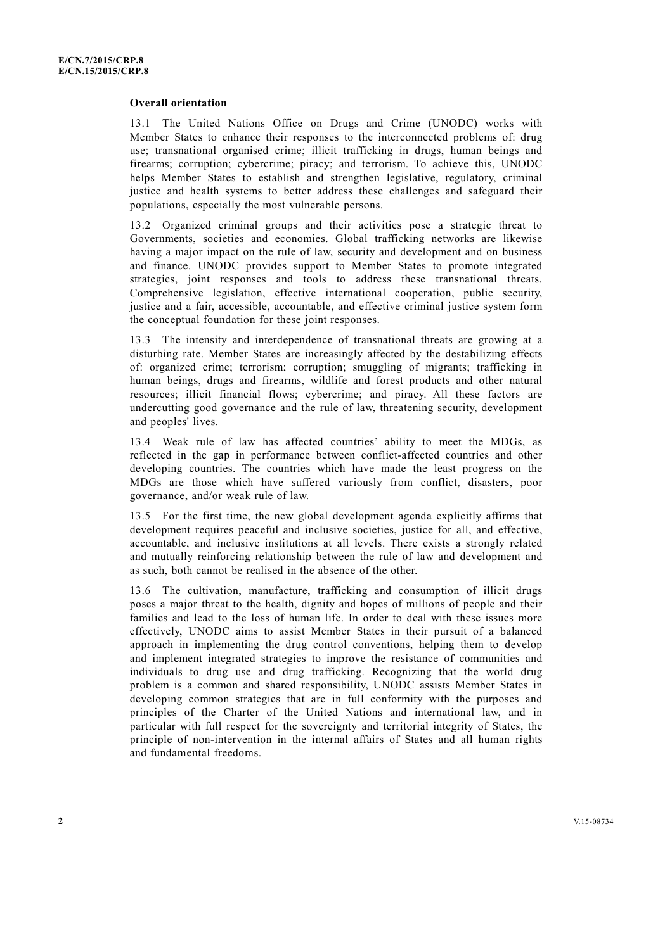#### **Overall orientation**

13.1 The United Nations Office on Drugs and Crime (UNODC) works with Member States to enhance their responses to the interconnected problems of: drug use; transnational organised crime; illicit trafficking in drugs, human beings and firearms; corruption; cybercrime; piracy; and terrorism. To achieve this, UNODC helps Member States to establish and strengthen legislative, regulatory, criminal justice and health systems to better address these challenges and safeguard their populations, especially the most vulnerable persons.

13.2 Organized criminal groups and their activities pose a strategic threat to Governments, societies and economies. Global trafficking networks are likewise having a major impact on the rule of law, security and development and on business and finance. UNODC provides support to Member States to promote integrated strategies, joint responses and tools to address these transnational threats. Comprehensive legislation, effective international cooperation, public security, justice and a fair, accessible, accountable, and effective criminal justice system form the conceptual foundation for these joint responses.

13.3 The intensity and interdependence of transnational threats are growing at a disturbing rate. Member States are increasingly affected by the destabilizing effects of: organized crime; terrorism; corruption; smuggling of migrants; trafficking in human beings, drugs and firearms, wildlife and forest products and other natural resources; illicit financial flows; cybercrime; and piracy. All these factors are undercutting good governance and the rule of law, threatening security, development and peoples' lives.

13.4 Weak rule of law has affected countries' ability to meet the MDGs, as reflected in the gap in performance between conflict-affected countries and other developing countries. The countries which have made the least progress on the MDGs are those which have suffered variously from conflict, disasters, poor governance, and/or weak rule of law.

13.5 For the first time, the new global development agenda explicitly affirms that development requires peaceful and inclusive societies, justice for all, and effective, accountable, and inclusive institutions at all levels. There exists a strongly related and mutually reinforcing relationship between the rule of law and development and as such, both cannot be realised in the absence of the other.

13.6 The cultivation, manufacture, trafficking and consumption of illicit drugs poses a major threat to the health, dignity and hopes of millions of people and their families and lead to the loss of human life. In order to deal with these issues more effectively, UNODC aims to assist Member States in their pursuit of a balanced approach in implementing the drug control conventions, helping them to develop and implement integrated strategies to improve the resistance of communities and individuals to drug use and drug trafficking. Recognizing that the world drug problem is a common and shared responsibility, UNODC assists Member States in developing common strategies that are in full conformity with the purposes and principles of the Charter of the United Nations and international law, and in particular with full respect for the sovereignty and territorial integrity of States, the principle of non-intervention in the internal affairs of States and all human rights and fundamental freedoms.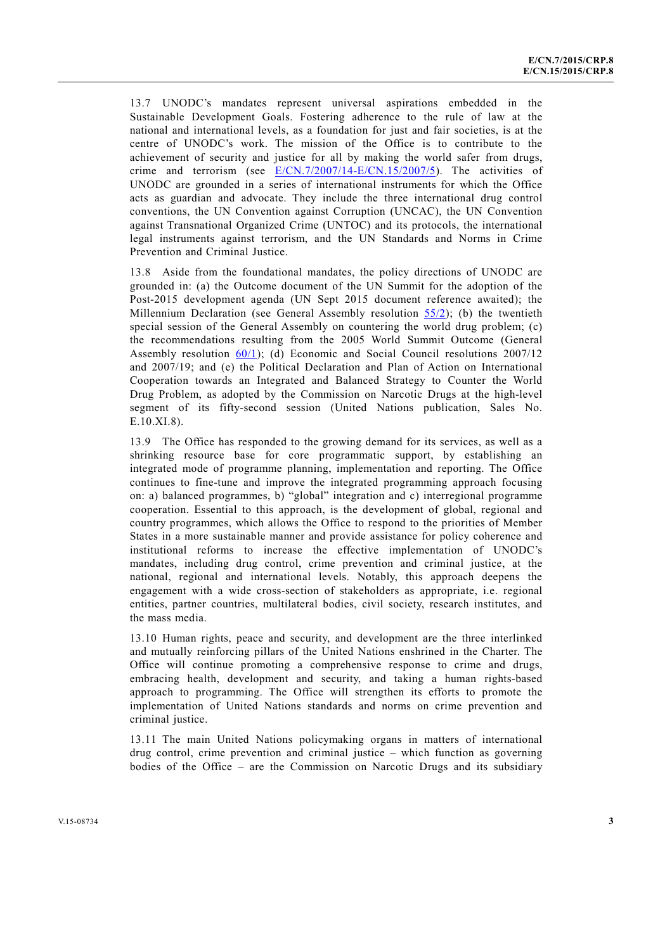13.7 UNODC's mandates represent universal aspirations embedded in the Sustainable Development Goals. Fostering adherence to the rule of law at the national and international levels, as a foundation for just and fair societies, is at the centre of UNODC's work. The mission of the Office is to contribute to the achievement of security and justice for all by making the world safer from drugs, crime and terrorism (see E/CN.7/2007/14-E/CN.15/2007/5). The activities of UNODC are grounded in a series of international instruments for which the Office acts as guardian and advocate. They include the three international drug control conventions, the UN Convention against Corruption (UNCAC), the UN Convention against Transnational Organized Crime (UNTOC) and its protocols, the international legal instruments against terrorism, and the UN Standards and Norms in Crime Prevention and Criminal Justice.

13.8 Aside from the foundational mandates, the policy directions of UNODC are grounded in: (a) the Outcome document of the UN Summit for the adoption of the Post-2015 development agenda (UN Sept 2015 document reference awaited); the Millennium Declaration (see General Assembly resolution 55/2); (b) the twentieth special session of the General Assembly on countering the world drug problem; (c) the recommendations resulting from the 2005 World Summit Outcome (General Assembly resolution 60/1); (d) Economic and Social Council resolutions 2007/12 and 2007/19; and (e) the Political Declaration and Plan of Action on International Cooperation towards an Integrated and Balanced Strategy to Counter the World Drug Problem, as adopted by the Commission on Narcotic Drugs at the high-level segment of its fifty-second session (United Nations publication, Sales No. E.10.XI.8).

13.9 The Office has responded to the growing demand for its services, as well as a shrinking resource base for core programmatic support, by establishing an integrated mode of programme planning, implementation and reporting. The Office continues to fine-tune and improve the integrated programming approach focusing on: a) balanced programmes, b) "global" integration and c) interregional programme cooperation. Essential to this approach, is the development of global, regional and country programmes, which allows the Office to respond to the priorities of Member States in a more sustainable manner and provide assistance for policy coherence and institutional reforms to increase the effective implementation of UNODC's mandates, including drug control, crime prevention and criminal justice, at the national, regional and international levels. Notably, this approach deepens the engagement with a wide cross-section of stakeholders as appropriate, i.e. regional entities, partner countries, multilateral bodies, civil society, research institutes, and the mass media.

13.10 Human rights, peace and security, and development are the three interlinked and mutually reinforcing pillars of the United Nations enshrined in the Charter. The Office will continue promoting a comprehensive response to crime and drugs, embracing health, development and security, and taking a human rights-based approach to programming. The Office will strengthen its efforts to promote the implementation of United Nations standards and norms on crime prevention and criminal justice.

13.11 The main United Nations policymaking organs in matters of international drug control, crime prevention and criminal justice – which function as governing bodies of the Office – are the Commission on Narcotic Drugs and its subsidiary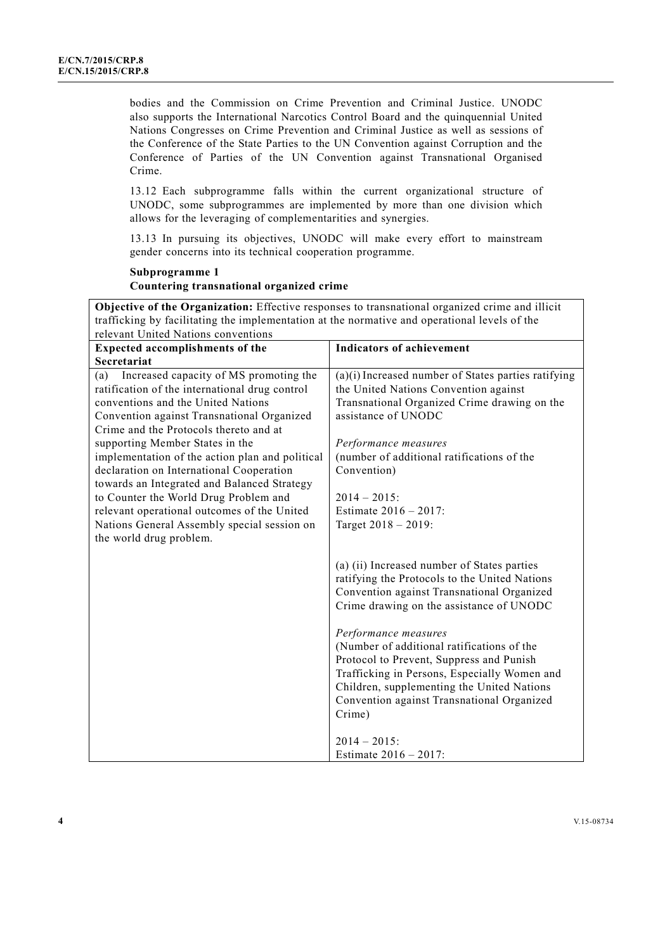bodies and the Commission on Crime Prevention and Criminal Justice. UNODC also supports the International Narcotics Control Board and the quinquennial United Nations Congresses on Crime Prevention and Criminal Justice as well as sessions of the Conference of the State Parties to the UN Convention against Corruption and the Conference of Parties of the UN Convention against Transnational Organised Crime.

13.12 Each subprogramme falls within the current organizational structure of UNODC, some subprogrammes are implemented by more than one division which allows for the leveraging of complementarities and synergies.

13.13 In pursuing its objectives, UNODC will make every effort to mainstream gender concerns into its technical cooperation programme.

## **Subprogramme 1 Countering transnational organized crime**

**Objective of the Organization:** Effective responses to transnational organized crime and illicit trafficking by facilitating the implementation at the normative and operational levels of the relevant United Nations conventions

| <b>Expected accomplishments of the</b>                                                                                                                                                                                                                                                                                                                                                                                                                                                                 | <b>Indicators of achievement</b>                                                                                                                                                                                                                                                                                                                                                                                                                                                                           |
|--------------------------------------------------------------------------------------------------------------------------------------------------------------------------------------------------------------------------------------------------------------------------------------------------------------------------------------------------------------------------------------------------------------------------------------------------------------------------------------------------------|------------------------------------------------------------------------------------------------------------------------------------------------------------------------------------------------------------------------------------------------------------------------------------------------------------------------------------------------------------------------------------------------------------------------------------------------------------------------------------------------------------|
| Secretariat                                                                                                                                                                                                                                                                                                                                                                                                                                                                                            |                                                                                                                                                                                                                                                                                                                                                                                                                                                                                                            |
| Increased capacity of MS promoting the<br>(a)<br>ratification of the international drug control<br>conventions and the United Nations<br>Convention against Transnational Organized<br>Crime and the Protocols thereto and at<br>supporting Member States in the<br>implementation of the action plan and political<br>declaration on International Cooperation<br>towards an Integrated and Balanced Strategy<br>to Counter the World Drug Problem and<br>relevant operational outcomes of the United | $(a)(i)$ Increased number of States parties ratifying<br>the United Nations Convention against<br>Transnational Organized Crime drawing on the<br>assistance of UNODC<br>Performance measures<br>(number of additional ratifications of the<br>Convention)<br>$2014 - 2015$ :<br>Estimate $2016 - 2017$ :                                                                                                                                                                                                  |
| Nations General Assembly special session on                                                                                                                                                                                                                                                                                                                                                                                                                                                            | Target 2018 - 2019:                                                                                                                                                                                                                                                                                                                                                                                                                                                                                        |
| the world drug problem.                                                                                                                                                                                                                                                                                                                                                                                                                                                                                | (a) (ii) Increased number of States parties<br>ratifying the Protocols to the United Nations<br>Convention against Transnational Organized<br>Crime drawing on the assistance of UNODC<br>Performance measures<br>(Number of additional ratifications of the<br>Protocol to Prevent, Suppress and Punish<br>Trafficking in Persons, Especially Women and<br>Children, supplementing the United Nations<br>Convention against Transnational Organized<br>Crime)<br>$2014 - 2015$ :<br>Estimate 2016 - 2017: |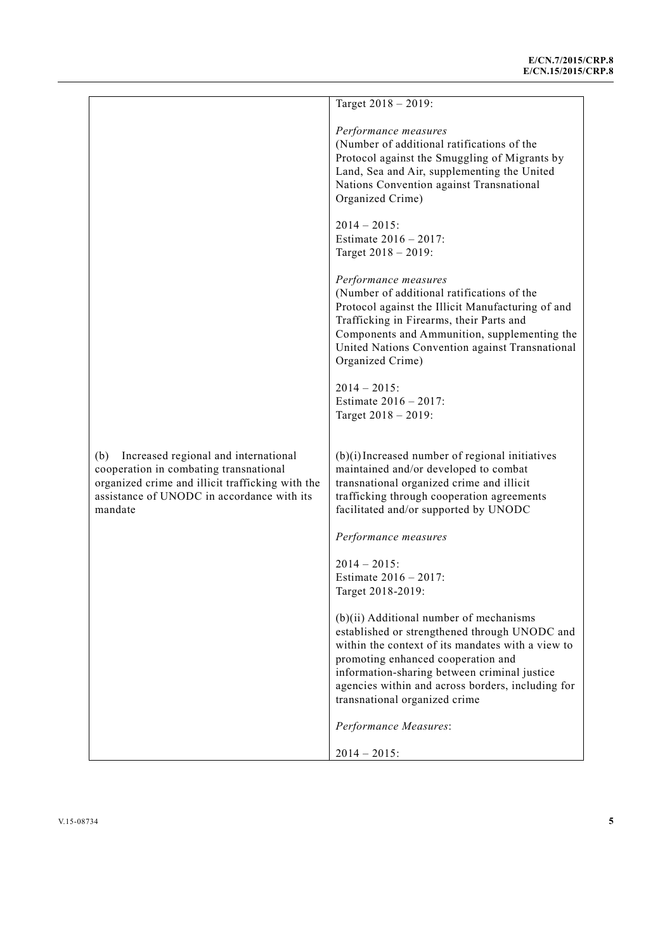|                                                                                                                                                                                                    | Target 2018 - 2019:                                                                                                                                                                                                                                                                                                         |
|----------------------------------------------------------------------------------------------------------------------------------------------------------------------------------------------------|-----------------------------------------------------------------------------------------------------------------------------------------------------------------------------------------------------------------------------------------------------------------------------------------------------------------------------|
|                                                                                                                                                                                                    | Performance measures<br>(Number of additional ratifications of the<br>Protocol against the Smuggling of Migrants by<br>Land, Sea and Air, supplementing the United<br>Nations Convention against Transnational<br>Organized Crime)                                                                                          |
|                                                                                                                                                                                                    | $2014 - 2015$ :<br>Estimate $2016 - 2017$ :<br>Target 2018 - 2019:                                                                                                                                                                                                                                                          |
|                                                                                                                                                                                                    | Performance measures<br>(Number of additional ratifications of the<br>Protocol against the Illicit Manufacturing of and<br>Trafficking in Firearms, their Parts and<br>Components and Ammunition, supplementing the<br>United Nations Convention against Transnational<br>Organized Crime)                                  |
|                                                                                                                                                                                                    | $2014 - 2015$ :<br>Estimate 2016 - 2017:<br>Target 2018 - 2019:                                                                                                                                                                                                                                                             |
| Increased regional and international<br>(b)<br>cooperation in combating transnational<br>organized crime and illicit trafficking with the<br>assistance of UNODC in accordance with its<br>mandate | $(b)(i)$ Increased number of regional initiatives<br>maintained and/or developed to combat<br>transnational organized crime and illicit<br>trafficking through cooperation agreements<br>facilitated and/or supported by UNODC                                                                                              |
|                                                                                                                                                                                                    | Performance measures                                                                                                                                                                                                                                                                                                        |
|                                                                                                                                                                                                    | $2014 - 2015$ :<br>Estimate 2016 - 2017:<br>Target 2018-2019:                                                                                                                                                                                                                                                               |
|                                                                                                                                                                                                    | $(b)(ii)$ Additional number of mechanisms<br>established or strengthened through UNODC and<br>within the context of its mandates with a view to<br>promoting enhanced cooperation and<br>information-sharing between criminal justice<br>agencies within and across borders, including for<br>transnational organized crime |
|                                                                                                                                                                                                    | Performance Measures:                                                                                                                                                                                                                                                                                                       |
|                                                                                                                                                                                                    | $2014 - 2015$ :                                                                                                                                                                                                                                                                                                             |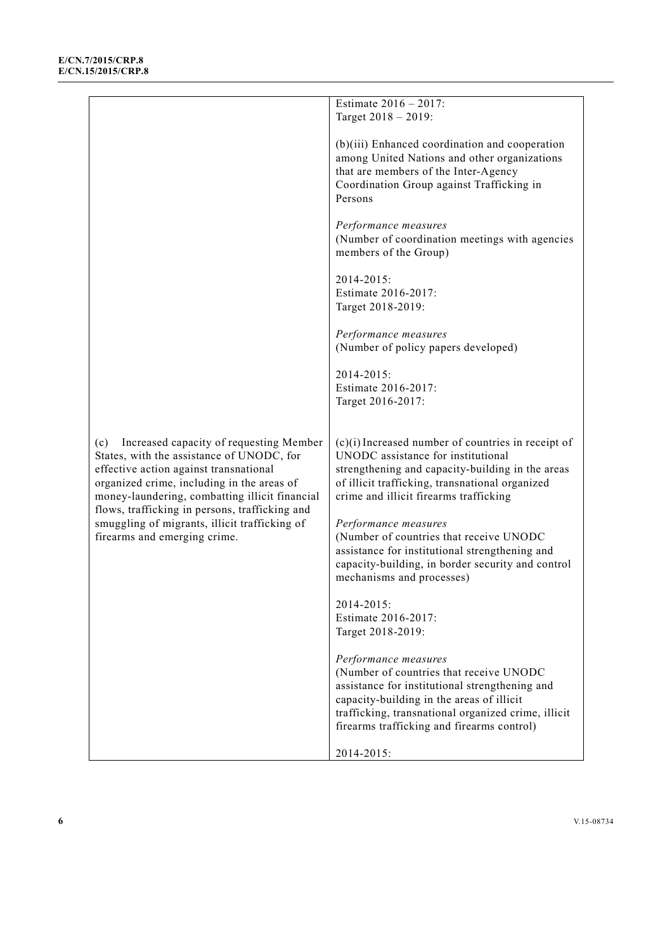|                                                | Estimate $2016 - 2017$ :                             |
|------------------------------------------------|------------------------------------------------------|
|                                                | Target $2018 - 2019$ :                               |
|                                                |                                                      |
|                                                | (b)(iii) Enhanced coordination and cooperation       |
|                                                | among United Nations and other organizations         |
|                                                | that are members of the Inter-Agency                 |
|                                                | Coordination Group against Trafficking in            |
|                                                | Persons                                              |
|                                                |                                                      |
|                                                | Performance measures                                 |
|                                                | (Number of coordination meetings with agencies       |
|                                                | members of the Group)                                |
|                                                |                                                      |
|                                                | 2014-2015:                                           |
|                                                | Estimate 2016-2017:                                  |
|                                                | Target 2018-2019:                                    |
|                                                |                                                      |
|                                                | Performance measures                                 |
|                                                | (Number of policy papers developed)                  |
|                                                |                                                      |
|                                                | 2014-2015:<br>Estimate 2016-2017:                    |
|                                                |                                                      |
|                                                | Target 2016-2017:                                    |
|                                                |                                                      |
| Increased capacity of requesting Member<br>(c) | $(c)(i)$ Increased number of countries in receipt of |
| States, with the assistance of UNODC, for      | UNODC assistance for institutional                   |
| effective action against transnational         | strengthening and capacity-building in the areas     |
| organized crime, including in the areas of     | of illicit trafficking, transnational organized      |
| money-laundering, combatting illicit financial | crime and illicit firearms trafficking               |
| flows, trafficking in persons, trafficking and |                                                      |
| smuggling of migrants, illicit trafficking of  | Performance measures                                 |
| firearms and emerging crime.                   | (Number of countries that receive UNODC              |
|                                                | assistance for institutional strengthening and       |
|                                                | capacity-building, in border security and control    |
|                                                | mechanisms and processes)                            |
|                                                | 2014-2015:                                           |
|                                                | Estimate 2016-2017:                                  |
|                                                | Target 2018-2019:                                    |
|                                                |                                                      |
|                                                | Performance measures                                 |
|                                                | (Number of countries that receive UNODC              |
|                                                | assistance for institutional strengthening and       |
|                                                | capacity-building in the areas of illicit            |
|                                                | trafficking, transnational organized crime, illicit  |
|                                                | firearms trafficking and firearms control)           |
|                                                |                                                      |
|                                                | 2014-2015:                                           |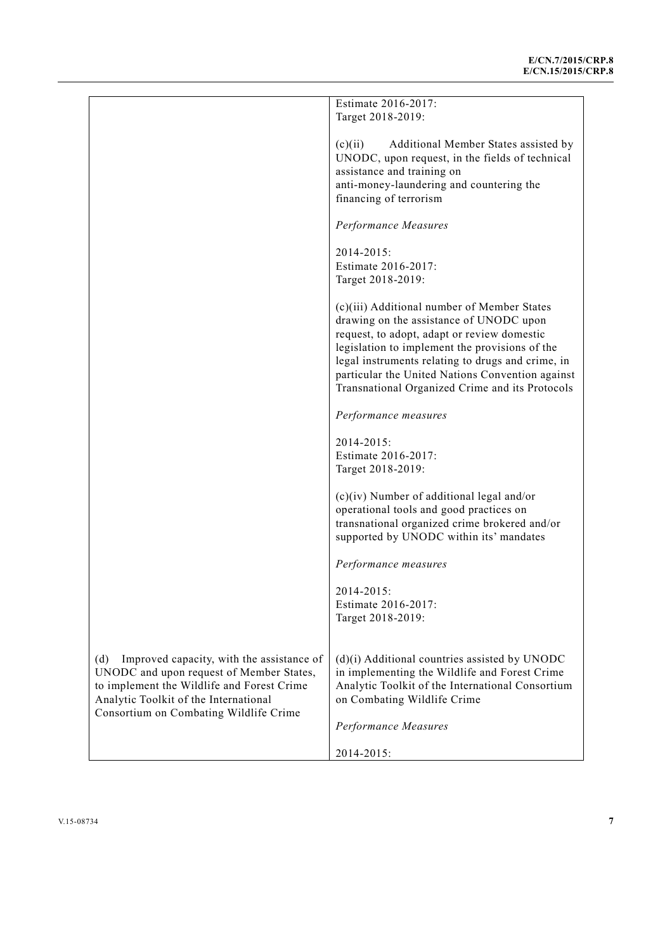|                                                  | Estimate 2016-2017:                                                                                 |
|--------------------------------------------------|-----------------------------------------------------------------------------------------------------|
|                                                  | Target 2018-2019:                                                                                   |
|                                                  | (c)(ii)<br>Additional Member States assisted by                                                     |
|                                                  | UNODC, upon request, in the fields of technical                                                     |
|                                                  | assistance and training on                                                                          |
|                                                  | anti-money-laundering and countering the<br>financing of terrorism                                  |
|                                                  |                                                                                                     |
|                                                  | Performance Measures                                                                                |
|                                                  | 2014-2015:                                                                                          |
|                                                  | Estimate 2016-2017:                                                                                 |
|                                                  | Target 2018-2019:                                                                                   |
|                                                  | (c)(iii) Additional number of Member States                                                         |
|                                                  | drawing on the assistance of UNODC upon                                                             |
|                                                  | request, to adopt, adapt or review domestic                                                         |
|                                                  | legislation to implement the provisions of the                                                      |
|                                                  | legal instruments relating to drugs and crime, in                                                   |
|                                                  | particular the United Nations Convention against<br>Transnational Organized Crime and its Protocols |
|                                                  |                                                                                                     |
|                                                  | Performance measures                                                                                |
|                                                  | 2014-2015:                                                                                          |
|                                                  | Estimate 2016-2017:                                                                                 |
|                                                  | Target 2018-2019:                                                                                   |
|                                                  | $(c)(iv)$ Number of additional legal and/or                                                         |
|                                                  | operational tools and good practices on                                                             |
|                                                  | transnational organized crime brokered and/or                                                       |
|                                                  | supported by UNODC within its' mandates                                                             |
|                                                  | Performance measures                                                                                |
|                                                  | 2014-2015:                                                                                          |
|                                                  | Estimate 2016-2017:                                                                                 |
|                                                  | Target 2018-2019:                                                                                   |
|                                                  |                                                                                                     |
| Improved capacity, with the assistance of<br>(d) | (d)(i) Additional countries assisted by UNODC                                                       |
| UNODC and upon request of Member States,         | in implementing the Wildlife and Forest Crime                                                       |
| to implement the Wildlife and Forest Crime       | Analytic Toolkit of the International Consortium                                                    |
| Analytic Toolkit of the International            | on Combating Wildlife Crime                                                                         |
| Consortium on Combating Wildlife Crime           | Performance Measures                                                                                |
|                                                  |                                                                                                     |
|                                                  | 2014-2015:                                                                                          |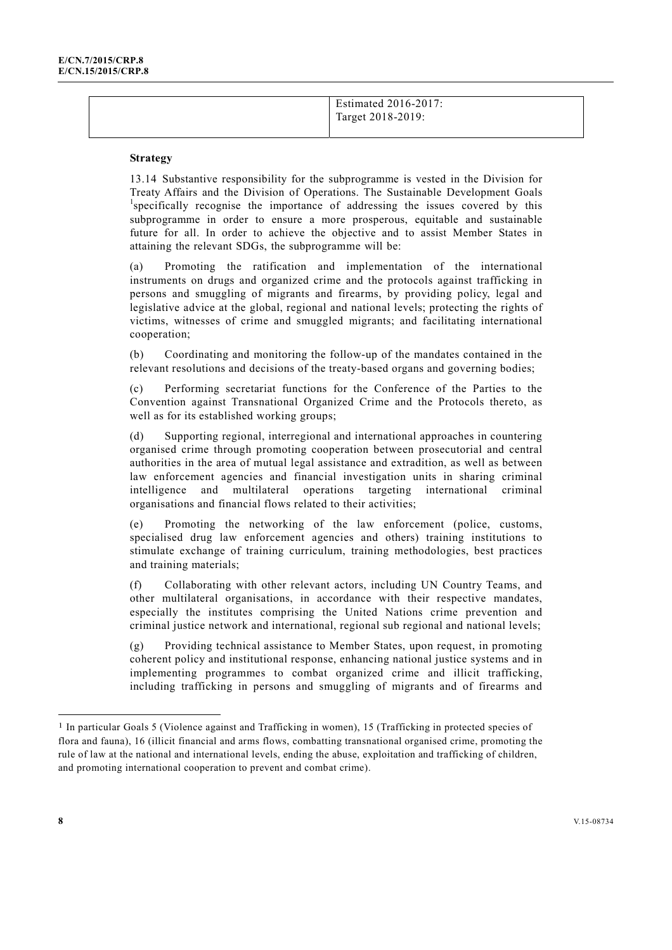Estimated 2016-2017: Target 2018-2019:

#### **Strategy**

13.14 Substantive responsibility for the subprogramme is vested in the Division for Treaty Affairs and the Division of Operations. The Sustainable Development Goals 1 <sup>1</sup>specifically recognise the importance of addressing the issues covered by this subprogramme in order to ensure a more prosperous, equitable and sustainable future for all. In order to achieve the objective and to assist Member States in attaining the relevant SDGs, the subprogramme will be:

(a) Promoting the ratification and implementation of the international instruments on drugs and organized crime and the protocols against trafficking in persons and smuggling of migrants and firearms, by providing policy, legal and legislative advice at the global, regional and national levels; protecting the rights of victims, witnesses of crime and smuggled migrants; and facilitating international cooperation;

(b) Coordinating and monitoring the follow-up of the mandates contained in the relevant resolutions and decisions of the treaty-based organs and governing bodies;

(c) Performing secretariat functions for the Conference of the Parties to the Convention against Transnational Organized Crime and the Protocols thereto, as well as for its established working groups;

(d) Supporting regional, interregional and international approaches in countering organised crime through promoting cooperation between prosecutorial and central authorities in the area of mutual legal assistance and extradition, as well as between law enforcement agencies and financial investigation units in sharing criminal intelligence and multilateral operations targeting international criminal organisations and financial flows related to their activities;

(e) Promoting the networking of the law enforcement (police, customs, specialised drug law enforcement agencies and others) training institutions to stimulate exchange of training curriculum, training methodologies, best practices and training materials;

(f) Collaborating with other relevant actors, including UN Country Teams, and other multilateral organisations, in accordance with their respective mandates, especially the institutes comprising the United Nations crime prevention and criminal justice network and international, regional sub regional and national levels;

(g) Providing technical assistance to Member States, upon request, in promoting coherent policy and institutional response, enhancing national justice systems and in implementing programmes to combat organized crime and illicit trafficking, including trafficking in persons and smuggling of migrants and of firearms and

l

<sup>1</sup> In particular Goals 5 (Violence against and Trafficking in women), 15 (Trafficking in protected species of flora and fauna), 16 (illicit financial and arms flows, combatting transnational organised crime, promoting the rule of law at the national and international levels, ending the abuse, exploitation and trafficking of children, and promoting international cooperation to prevent and combat crime).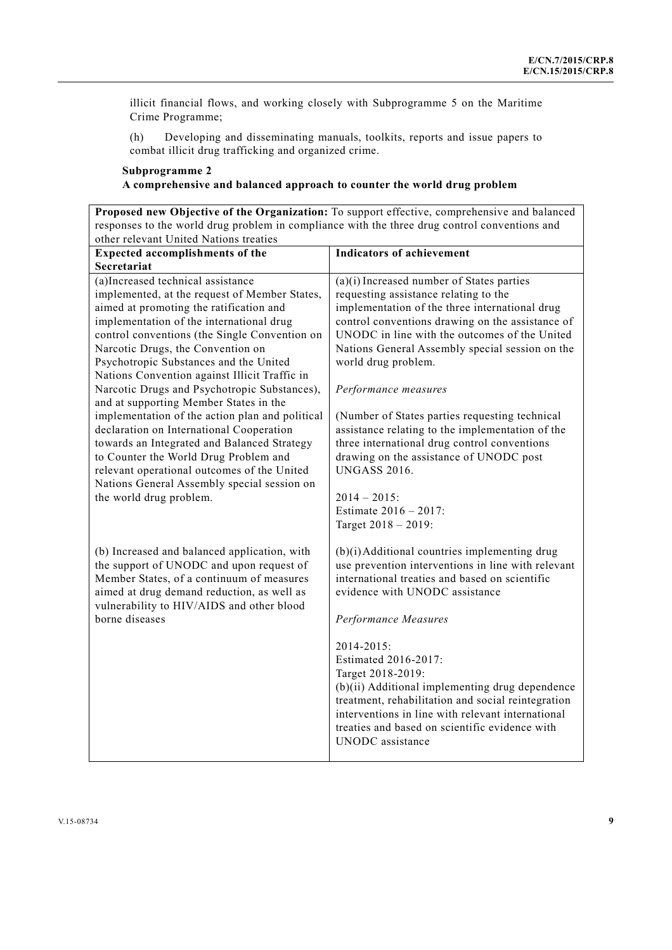illicit financial flows, and working closely with Subprogramme 5 on the Maritime Crime Programme;

(h) Developing and disseminating manuals, toolkits, reports and issue papers to combat illicit drug trafficking and organized crime.

### **Subprogramme 2 A comprehensive and balanced approach to counter the world drug problem**

**Proposed new Objective of the Organization:** To support effective, comprehensive and balanced responses to the world drug problem in compliance with the three drug control conventions and other relevant United Nations treaties

| Expected accomplishments of the                                                                                                                                                                                                                                                                                                                                                                                                                                                                                                                                                                                                                                                                                                                                      | <b>Indicators of achievement</b>                                                                                                                                                                                                                                                                                                                                                                                                                                                                                                                                                                                                       |
|----------------------------------------------------------------------------------------------------------------------------------------------------------------------------------------------------------------------------------------------------------------------------------------------------------------------------------------------------------------------------------------------------------------------------------------------------------------------------------------------------------------------------------------------------------------------------------------------------------------------------------------------------------------------------------------------------------------------------------------------------------------------|----------------------------------------------------------------------------------------------------------------------------------------------------------------------------------------------------------------------------------------------------------------------------------------------------------------------------------------------------------------------------------------------------------------------------------------------------------------------------------------------------------------------------------------------------------------------------------------------------------------------------------------|
| Secretariat                                                                                                                                                                                                                                                                                                                                                                                                                                                                                                                                                                                                                                                                                                                                                          |                                                                                                                                                                                                                                                                                                                                                                                                                                                                                                                                                                                                                                        |
| (a)Increased technical assistance<br>implemented, at the request of Member States,<br>aimed at promoting the ratification and<br>implementation of the international drug<br>control conventions (the Single Convention on<br>Narcotic Drugs, the Convention on<br>Psychotropic Substances and the United<br>Nations Convention against Illicit Traffic in<br>Narcotic Drugs and Psychotropic Substances),<br>and at supporting Member States in the<br>implementation of the action plan and political<br>declaration on International Cooperation<br>towards an Integrated and Balanced Strategy<br>to Counter the World Drug Problem and<br>relevant operational outcomes of the United<br>Nations General Assembly special session on<br>the world drug problem. | $(a)(i)$ Increased number of States parties<br>requesting assistance relating to the<br>implementation of the three international drug<br>control conventions drawing on the assistance of<br>UNODC in line with the outcomes of the United<br>Nations General Assembly special session on the<br>world drug problem.<br>Performance measures<br>(Number of States parties requesting technical<br>assistance relating to the implementation of the<br>three international drug control conventions<br>drawing on the assistance of UNODC post<br><b>UNGASS 2016.</b><br>$2014 - 2015$<br>Estimate 2016 - 2017:<br>Target 2018 - 2019: |
| (b) Increased and balanced application, with<br>the support of UNODC and upon request of<br>Member States, of a continuum of measures<br>aimed at drug demand reduction, as well as<br>vulnerability to HIV/AIDS and other blood<br>borne diseases                                                                                                                                                                                                                                                                                                                                                                                                                                                                                                                   | (b)(i) Additional countries implementing drug<br>use prevention interventions in line with relevant<br>international treaties and based on scientific<br>evidence with UNODC assistance<br>Performance Measures<br>2014-2015:<br>Estimated 2016-2017:<br>Target 2018-2019:<br>(b)(ii) Additional implementing drug dependence<br>treatment, rehabilitation and social reintegration<br>interventions in line with relevant international<br>treaties and based on scientific evidence with<br><b>UNODC</b> assistance                                                                                                                  |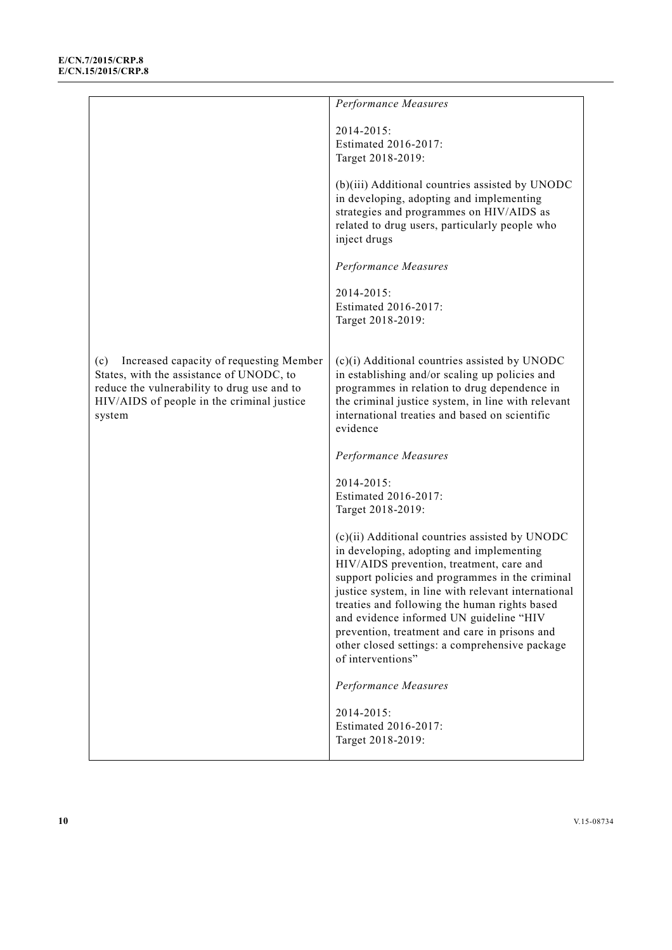|                                                                                                                                                                                                   | Performance Measures                                                                                                                                                                                                                                                                                                                                                                                                                                                 |
|---------------------------------------------------------------------------------------------------------------------------------------------------------------------------------------------------|----------------------------------------------------------------------------------------------------------------------------------------------------------------------------------------------------------------------------------------------------------------------------------------------------------------------------------------------------------------------------------------------------------------------------------------------------------------------|
|                                                                                                                                                                                                   | 2014-2015:<br>Estimated 2016-2017:<br>Target 2018-2019:                                                                                                                                                                                                                                                                                                                                                                                                              |
|                                                                                                                                                                                                   | (b)(iii) Additional countries assisted by UNODC<br>in developing, adopting and implementing<br>strategies and programmes on HIV/AIDS as<br>related to drug users, particularly people who<br>inject drugs                                                                                                                                                                                                                                                            |
|                                                                                                                                                                                                   | Performance Measures                                                                                                                                                                                                                                                                                                                                                                                                                                                 |
|                                                                                                                                                                                                   | 2014-2015:<br>Estimated 2016-2017:<br>Target 2018-2019:                                                                                                                                                                                                                                                                                                                                                                                                              |
| Increased capacity of requesting Member<br>(c)<br>States, with the assistance of UNODC, to<br>reduce the vulnerability to drug use and to<br>HIV/AIDS of people in the criminal justice<br>system | (c)(i) Additional countries assisted by UNODC<br>in establishing and/or scaling up policies and<br>programmes in relation to drug dependence in<br>the criminal justice system, in line with relevant<br>international treaties and based on scientific<br>evidence                                                                                                                                                                                                  |
|                                                                                                                                                                                                   | Performance Measures                                                                                                                                                                                                                                                                                                                                                                                                                                                 |
|                                                                                                                                                                                                   | 2014-2015:<br>Estimated 2016-2017:<br>Target 2018-2019:                                                                                                                                                                                                                                                                                                                                                                                                              |
|                                                                                                                                                                                                   | (c)(ii) Additional countries assisted by UNODC<br>in developing, adopting and implementing<br>HIV/AIDS prevention, treatment, care and<br>support policies and programmes in the criminal<br>justice system, in line with relevant international<br>treaties and following the human rights based<br>and evidence informed UN guideline "HIV<br>prevention, treatment and care in prisons and<br>other closed settings: a comprehensive package<br>of interventions" |
|                                                                                                                                                                                                   | Performance Measures                                                                                                                                                                                                                                                                                                                                                                                                                                                 |
|                                                                                                                                                                                                   | 2014-2015:<br>Estimated 2016-2017:<br>Target 2018-2019:                                                                                                                                                                                                                                                                                                                                                                                                              |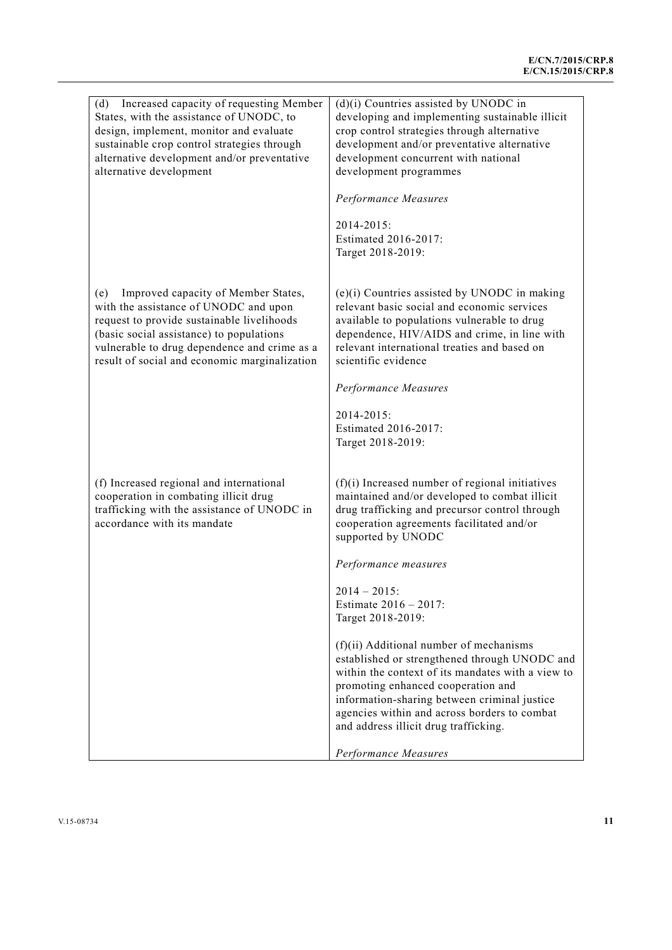| (d) Increased capacity of requesting Member<br>States, with the assistance of UNODC, to<br>design, implement, monitor and evaluate<br>sustainable crop control strategies through<br>alternative development and/or preventative<br>alternative development                    | $(d)(i)$ Countries assisted by UNODC in<br>developing and implementing sustainable illicit<br>crop control strategies through alternative<br>development and/or preventative alternative<br>development concurrent with national<br>development programmes                                                                   |
|--------------------------------------------------------------------------------------------------------------------------------------------------------------------------------------------------------------------------------------------------------------------------------|------------------------------------------------------------------------------------------------------------------------------------------------------------------------------------------------------------------------------------------------------------------------------------------------------------------------------|
|                                                                                                                                                                                                                                                                                | Performance Measures<br>2014-2015:<br>Estimated 2016-2017:<br>Target 2018-2019:                                                                                                                                                                                                                                              |
| Improved capacity of Member States,<br>(e)<br>with the assistance of UNODC and upon<br>request to provide sustainable livelihoods<br>(basic social assistance) to populations<br>vulnerable to drug dependence and crime as a<br>result of social and economic marginalization | $(e)(i)$ Countries assisted by UNODC in making<br>relevant basic social and economic services<br>available to populations vulnerable to drug<br>dependence, HIV/AIDS and crime, in line with<br>relevant international treaties and based on<br>scientific evidence                                                          |
|                                                                                                                                                                                                                                                                                | Performance Measures                                                                                                                                                                                                                                                                                                         |
|                                                                                                                                                                                                                                                                                | 2014-2015:<br>Estimated 2016-2017:<br>Target 2018-2019:                                                                                                                                                                                                                                                                      |
| (f) Increased regional and international<br>cooperation in combating illicit drug<br>trafficking with the assistance of UNODC in<br>accordance with its mandate                                                                                                                | $(f)(i)$ Increased number of regional initiatives<br>maintained and/or developed to combat illicit<br>drug trafficking and precursor control through<br>cooperation agreements facilitated and/or<br>supported by UNODC                                                                                                      |
|                                                                                                                                                                                                                                                                                | Performance measures                                                                                                                                                                                                                                                                                                         |
|                                                                                                                                                                                                                                                                                | $2014 - 2015$ :<br>Estimate $2016 - 2017$ :<br>Target 2018-2019:                                                                                                                                                                                                                                                             |
|                                                                                                                                                                                                                                                                                | (f)(ii) Additional number of mechanisms<br>established or strengthened through UNODC and<br>within the context of its mandates with a view to<br>promoting enhanced cooperation and<br>information-sharing between criminal justice<br>agencies within and across borders to combat<br>and address illicit drug trafficking. |
|                                                                                                                                                                                                                                                                                | Performance Measures                                                                                                                                                                                                                                                                                                         |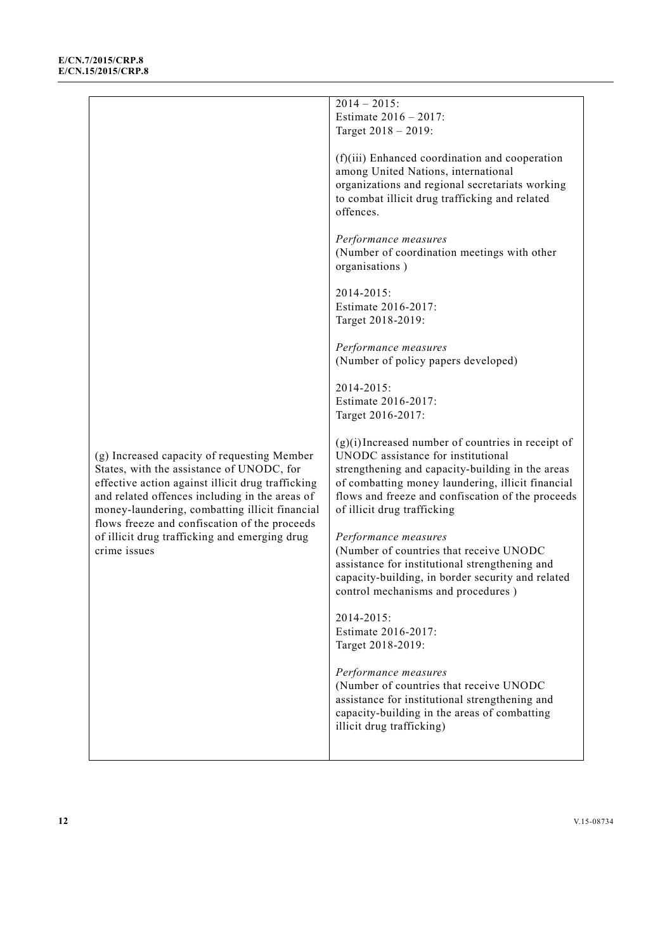|                                                                                                                                                                                                                                                   | $2014 - 2015$ :<br>Estimate 2016 - 2017:<br>Target 2018 - 2019:                                                                                                                                                                                                                         |
|---------------------------------------------------------------------------------------------------------------------------------------------------------------------------------------------------------------------------------------------------|-----------------------------------------------------------------------------------------------------------------------------------------------------------------------------------------------------------------------------------------------------------------------------------------|
|                                                                                                                                                                                                                                                   | (f)(iii) Enhanced coordination and cooperation<br>among United Nations, international<br>organizations and regional secretariats working<br>to combat illicit drug trafficking and related<br>offences.                                                                                 |
|                                                                                                                                                                                                                                                   | Performance measures<br>(Number of coordination meetings with other<br>organisations)                                                                                                                                                                                                   |
|                                                                                                                                                                                                                                                   | 2014-2015:<br>Estimate 2016-2017:<br>Target 2018-2019:                                                                                                                                                                                                                                  |
|                                                                                                                                                                                                                                                   | Performance measures<br>(Number of policy papers developed)                                                                                                                                                                                                                             |
|                                                                                                                                                                                                                                                   | 2014-2015:<br>Estimate 2016-2017:<br>Target 2016-2017:                                                                                                                                                                                                                                  |
| (g) Increased capacity of requesting Member<br>States, with the assistance of UNODC, for<br>effective action against illicit drug trafficking<br>and related offences including in the areas of<br>money-laundering, combatting illicit financial | $(g)(i)$ Increased number of countries in receipt of<br>UNODC assistance for institutional<br>strengthening and capacity-building in the areas<br>of combatting money laundering, illicit financial<br>flows and freeze and confiscation of the proceeds<br>of illicit drug trafficking |
| flows freeze and confiscation of the proceeds<br>of illicit drug trafficking and emerging drug<br>crime issues                                                                                                                                    | Performance measures<br>(Number of countries that receive UNODC<br>assistance for institutional strengthening and<br>capacity-building, in border security and related<br>control mechanisms and procedures)                                                                            |
|                                                                                                                                                                                                                                                   | $2014 - 2015$ :<br>Estimate 2016-2017:<br>Target 2018-2019:                                                                                                                                                                                                                             |
|                                                                                                                                                                                                                                                   | Performance measures<br>(Number of countries that receive UNODC<br>assistance for institutional strengthening and<br>capacity-building in the areas of combatting<br>illicit drug trafficking)                                                                                          |
|                                                                                                                                                                                                                                                   |                                                                                                                                                                                                                                                                                         |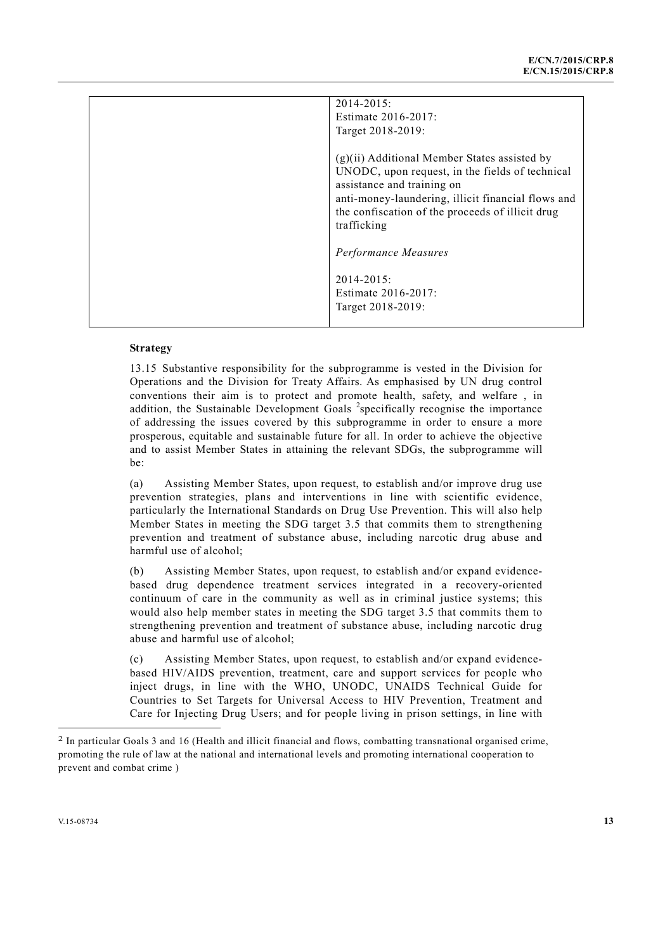| $2014 - 2015$ :                                    |
|----------------------------------------------------|
| Estimate 2016-2017:                                |
| Target 2018-2019:                                  |
|                                                    |
| $(g)(ii)$ Additional Member States assisted by     |
| UNODC, upon request, in the fields of technical    |
| assistance and training on                         |
| anti-money-laundering, illicit financial flows and |
| the confiscation of the proceeds of illicit drug   |
| trafficking                                        |
|                                                    |
| Performance Measures                               |
|                                                    |
| $2014 - 2015$ :                                    |
| Estimate 2016-2017:                                |
| Target 2018-2019:                                  |
|                                                    |

13.15 Substantive responsibility for the subprogramme is vested in the Division for Operations and the Division for Treaty Affairs. As emphasised by UN drug control conventions their aim is to protect and promote health, safety, and welfare , in addition, the Sustainable Development Goals <sup>2</sup>specifically recognise the importance of addressing the issues covered by this subprogramme in order to ensure a more prosperous, equitable and sustainable future for all. In order to achieve the objective and to assist Member States in attaining the relevant SDGs, the subprogramme will be:

(a) Assisting Member States, upon request, to establish and/or improve drug use prevention strategies, plans and interventions in line with scientific evidence, particularly the International Standards on Drug Use Prevention. This will also help Member States in meeting the SDG target 3.5 that commits them to strengthening prevention and treatment of substance abuse, including narcotic drug abuse and harmful use of alcohol;

(b) Assisting Member States, upon request, to establish and/or expand evidencebased drug dependence treatment services integrated in a recovery-oriented continuum of care in the community as well as in criminal justice systems; this would also help member states in meeting the SDG target 3.5 that commits them to strengthening prevention and treatment of substance abuse, including narcotic drug abuse and harmful use of alcohol;

(c) Assisting Member States, upon request, to establish and/or expand evidencebased HIV/AIDS prevention, treatment, care and support services for people who inject drugs, in line with the WHO, UNODC, UNAIDS Technical Guide for Countries to Set Targets for Universal Access to HIV Prevention, Treatment and Care for Injecting Drug Users; and for people living in prison settings, in line with

l

<sup>2</sup> In particular Goals 3 and 16 (Health and illicit financial and flows, combatting transnational organised crime, promoting the rule of law at the national and international levels and promoting international cooperation to prevent and combat crime )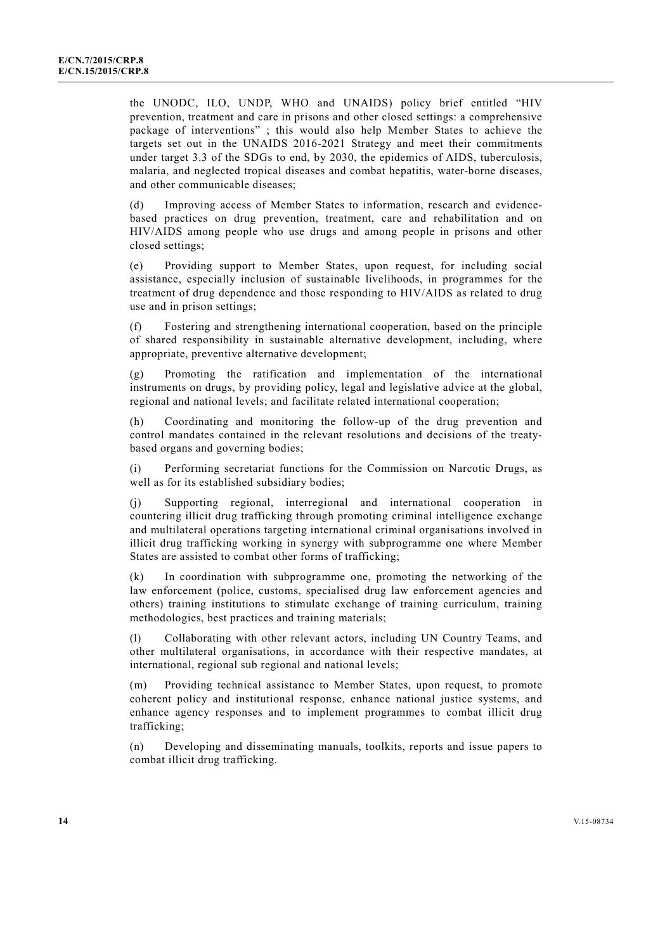the UNODC, ILO, UNDP, WHO and UNAIDS) policy brief entitled "HIV prevention, treatment and care in prisons and other closed settings: a comprehensive package of interventions" ; this would also help Member States to achieve the targets set out in the UNAIDS 2016-2021 Strategy and meet their commitments under target 3.3 of the SDGs to end, by 2030, the epidemics of AIDS, tuberculosis, malaria, and neglected tropical diseases and combat hepatitis, water-borne diseases, and other communicable diseases;

(d) Improving access of Member States to information, research and evidencebased practices on drug prevention, treatment, care and rehabilitation and on HIV/AIDS among people who use drugs and among people in prisons and other closed settings;

(e) Providing support to Member States, upon request, for including social assistance, especially inclusion of sustainable livelihoods, in programmes for the treatment of drug dependence and those responding to HIV/AIDS as related to drug use and in prison settings;

(f) Fostering and strengthening international cooperation, based on the principle of shared responsibility in sustainable alternative development, including, where appropriate, preventive alternative development;

(g) Promoting the ratification and implementation of the international instruments on drugs, by providing policy, legal and legislative advice at the global, regional and national levels; and facilitate related international cooperation;

(h) Coordinating and monitoring the follow-up of the drug prevention and control mandates contained in the relevant resolutions and decisions of the treatybased organs and governing bodies;

(i) Performing secretariat functions for the Commission on Narcotic Drugs, as well as for its established subsidiary bodies;

(j) Supporting regional, interregional and international cooperation in countering illicit drug trafficking through promoting criminal intelligence exchange and multilateral operations targeting international criminal organisations involved in illicit drug trafficking working in synergy with subprogramme one where Member States are assisted to combat other forms of trafficking;

(k) In coordination with subprogramme one, promoting the networking of the law enforcement (police, customs, specialised drug law enforcement agencies and others) training institutions to stimulate exchange of training curriculum, training methodologies, best practices and training materials;

(l) Collaborating with other relevant actors, including UN Country Teams, and other multilateral organisations, in accordance with their respective mandates, at international, regional sub regional and national levels;

(m) Providing technical assistance to Member States, upon request, to promote coherent policy and institutional response, enhance national justice systems, and enhance agency responses and to implement programmes to combat illicit drug trafficking;

(n) Developing and disseminating manuals, toolkits, reports and issue papers to combat illicit drug trafficking.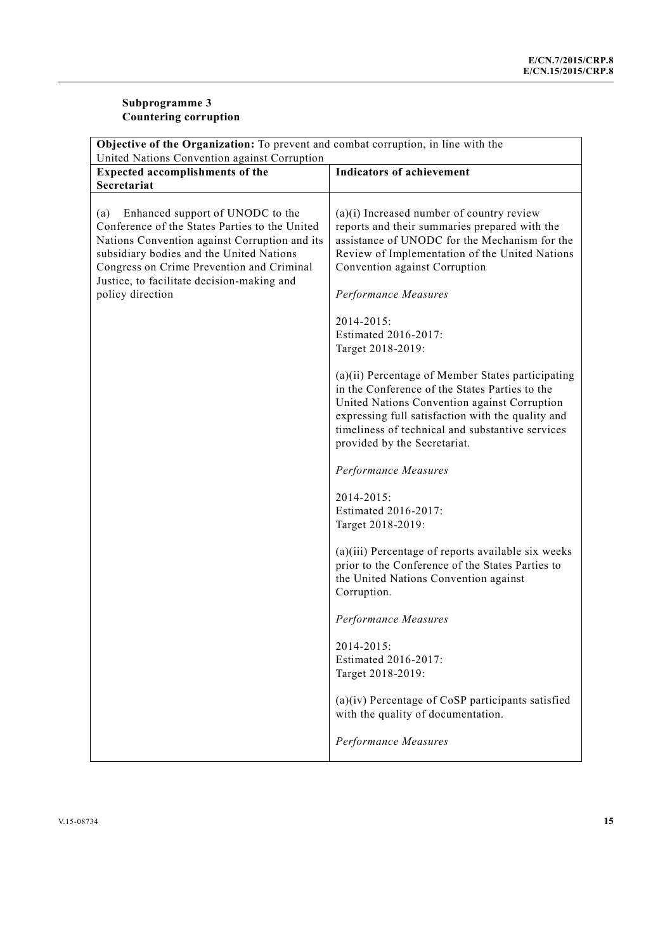# **Subprogramme 3 Countering corruption**

| <b>Objective of the Organization:</b> To prevent and combat corruption, in line with the                                                                                                                                                                                                              |                                                                                                                                                                                                                                                                                              |
|-------------------------------------------------------------------------------------------------------------------------------------------------------------------------------------------------------------------------------------------------------------------------------------------------------|----------------------------------------------------------------------------------------------------------------------------------------------------------------------------------------------------------------------------------------------------------------------------------------------|
| United Nations Convention against Corruption<br><b>Indicators of achievement</b><br><b>Expected accomplishments of the</b>                                                                                                                                                                            |                                                                                                                                                                                                                                                                                              |
| Secretariat                                                                                                                                                                                                                                                                                           |                                                                                                                                                                                                                                                                                              |
|                                                                                                                                                                                                                                                                                                       |                                                                                                                                                                                                                                                                                              |
| Enhanced support of UNODC to the<br>(a)<br>Conference of the States Parties to the United<br>Nations Convention against Corruption and its<br>subsidiary bodies and the United Nations<br>Congress on Crime Prevention and Criminal<br>Justice, to facilitate decision-making and<br>policy direction | $(a)(i)$ Increased number of country review<br>reports and their summaries prepared with the<br>assistance of UNODC for the Mechanism for the<br>Review of Implementation of the United Nations<br>Convention against Corruption<br>Performance Measures                                     |
|                                                                                                                                                                                                                                                                                                       | 2014-2015:<br>Estimated 2016-2017:<br>Target 2018-2019:                                                                                                                                                                                                                                      |
|                                                                                                                                                                                                                                                                                                       | (a)(ii) Percentage of Member States participating<br>in the Conference of the States Parties to the<br>United Nations Convention against Corruption<br>expressing full satisfaction with the quality and<br>timeliness of technical and substantive services<br>provided by the Secretariat. |
|                                                                                                                                                                                                                                                                                                       | Performance Measures                                                                                                                                                                                                                                                                         |
|                                                                                                                                                                                                                                                                                                       | 2014-2015:<br>Estimated 2016-2017:<br>Target 2018-2019:                                                                                                                                                                                                                                      |
|                                                                                                                                                                                                                                                                                                       | (a)(iii) Percentage of reports available six weeks<br>prior to the Conference of the States Parties to<br>the United Nations Convention against<br>Corruption.                                                                                                                               |
|                                                                                                                                                                                                                                                                                                       | Performance Measures                                                                                                                                                                                                                                                                         |
|                                                                                                                                                                                                                                                                                                       | 2014-2015:<br>Estimated 2016-2017:<br>Target 2018-2019:                                                                                                                                                                                                                                      |
|                                                                                                                                                                                                                                                                                                       | $(a)(iv)$ Percentage of CoSP participants satisfied<br>with the quality of documentation.                                                                                                                                                                                                    |
|                                                                                                                                                                                                                                                                                                       | Performance Measures                                                                                                                                                                                                                                                                         |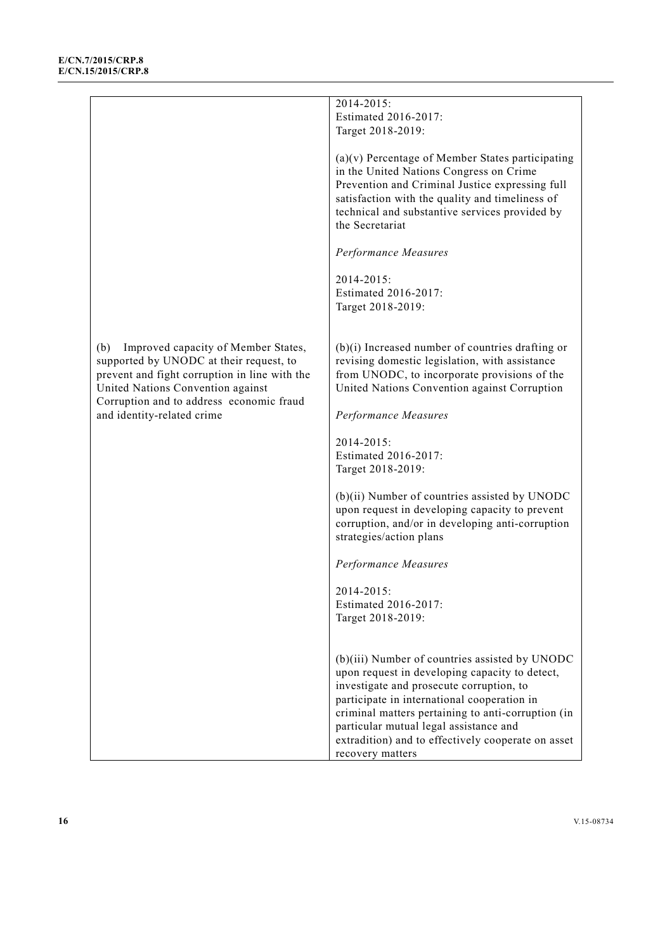|                                                                                                                                                                                                                         | 2014-2015:                                                                                                                                                                                                                                                                                                                                                            |
|-------------------------------------------------------------------------------------------------------------------------------------------------------------------------------------------------------------------------|-----------------------------------------------------------------------------------------------------------------------------------------------------------------------------------------------------------------------------------------------------------------------------------------------------------------------------------------------------------------------|
|                                                                                                                                                                                                                         | Estimated 2016-2017:                                                                                                                                                                                                                                                                                                                                                  |
|                                                                                                                                                                                                                         |                                                                                                                                                                                                                                                                                                                                                                       |
|                                                                                                                                                                                                                         | Target 2018-2019:                                                                                                                                                                                                                                                                                                                                                     |
|                                                                                                                                                                                                                         | $(a)(v)$ Percentage of Member States participating<br>in the United Nations Congress on Crime<br>Prevention and Criminal Justice expressing full<br>satisfaction with the quality and timeliness of<br>technical and substantive services provided by<br>the Secretariat                                                                                              |
|                                                                                                                                                                                                                         | Performance Measures                                                                                                                                                                                                                                                                                                                                                  |
|                                                                                                                                                                                                                         | 2014-2015:<br>Estimated 2016-2017:<br>Target 2018-2019:                                                                                                                                                                                                                                                                                                               |
| Improved capacity of Member States,<br>(b)<br>supported by UNODC at their request, to<br>prevent and fight corruption in line with the<br>United Nations Convention against<br>Corruption and to address economic fraud | $(b)(i)$ Increased number of countries drafting or<br>revising domestic legislation, with assistance<br>from UNODC, to incorporate provisions of the<br>United Nations Convention against Corruption                                                                                                                                                                  |
| and identity-related crime                                                                                                                                                                                              | Performance Measures                                                                                                                                                                                                                                                                                                                                                  |
|                                                                                                                                                                                                                         | 2014-2015:<br>Estimated 2016-2017:<br>Target 2018-2019:                                                                                                                                                                                                                                                                                                               |
|                                                                                                                                                                                                                         | (b)(ii) Number of countries assisted by UNODC<br>upon request in developing capacity to prevent<br>corruption, and/or in developing anti-corruption<br>strategies/action plans                                                                                                                                                                                        |
|                                                                                                                                                                                                                         | Performance Measures                                                                                                                                                                                                                                                                                                                                                  |
|                                                                                                                                                                                                                         | 2014-2015:<br>Estimated 2016-2017:<br>Target 2018-2019:                                                                                                                                                                                                                                                                                                               |
|                                                                                                                                                                                                                         | (b)(iii) Number of countries assisted by UNODC<br>upon request in developing capacity to detect,<br>investigate and prosecute corruption, to<br>participate in international cooperation in<br>criminal matters pertaining to anti-corruption (in<br>particular mutual legal assistance and<br>extradition) and to effectively cooperate on asset<br>recovery matters |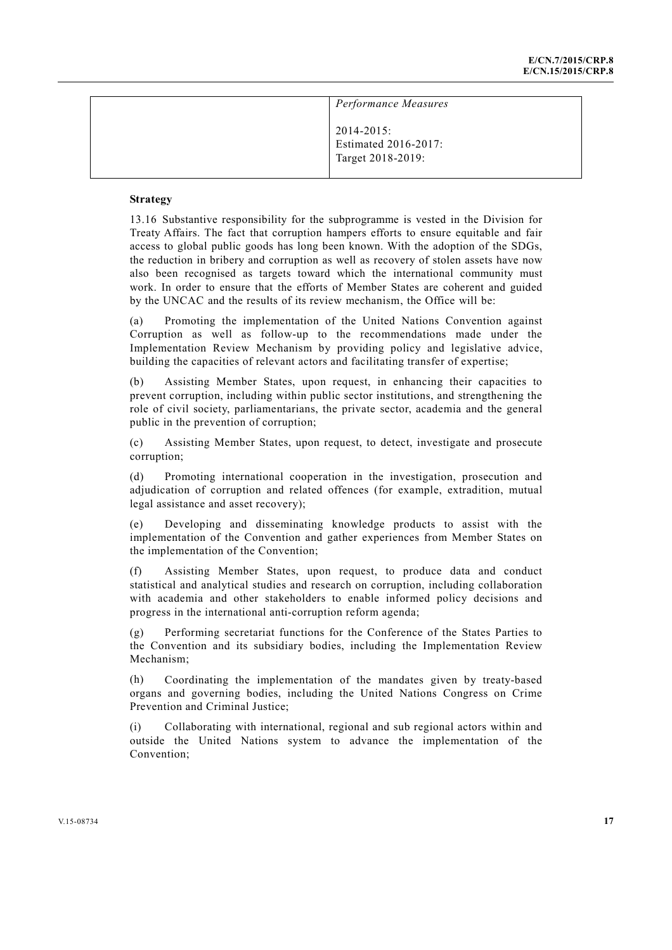| Performance Measures                                         |  |
|--------------------------------------------------------------|--|
| $2014 - 2015$ :<br>Estimated 2016-2017:<br>Target 2018-2019: |  |

13.16 Substantive responsibility for the subprogramme is vested in the Division for Treaty Affairs. The fact that corruption hampers efforts to ensure equitable and fair access to global public goods has long been known. With the adoption of the SDGs, the reduction in bribery and corruption as well as recovery of stolen assets have now also been recognised as targets toward which the international community must work. In order to ensure that the efforts of Member States are coherent and guided by the UNCAC and the results of its review mechanism, the Office will be:

(a) Promoting the implementation of the United Nations Convention against Corruption as well as follow-up to the recommendations made under the Implementation Review Mechanism by providing policy and legislative advice, building the capacities of relevant actors and facilitating transfer of expertise;

(b) Assisting Member States, upon request, in enhancing their capacities to prevent corruption, including within public sector institutions, and strengthening the role of civil society, parliamentarians, the private sector, academia and the general public in the prevention of corruption;

(c) Assisting Member States, upon request, to detect, investigate and prosecute corruption;

(d) Promoting international cooperation in the investigation, prosecution and adjudication of corruption and related offences (for example, extradition, mutual legal assistance and asset recovery);

(e) Developing and disseminating knowledge products to assist with the implementation of the Convention and gather experiences from Member States on the implementation of the Convention;

(f) Assisting Member States, upon request, to produce data and conduct statistical and analytical studies and research on corruption, including collaboration with academia and other stakeholders to enable informed policy decisions and progress in the international anti-corruption reform agenda;

(g) Performing secretariat functions for the Conference of the States Parties to the Convention and its subsidiary bodies, including the Implementation Review Mechanism;

(h) Coordinating the implementation of the mandates given by treaty-based organs and governing bodies, including the United Nations Congress on Crime Prevention and Criminal Justice;

(i) Collaborating with international, regional and sub regional actors within and outside the United Nations system to advance the implementation of the Convention;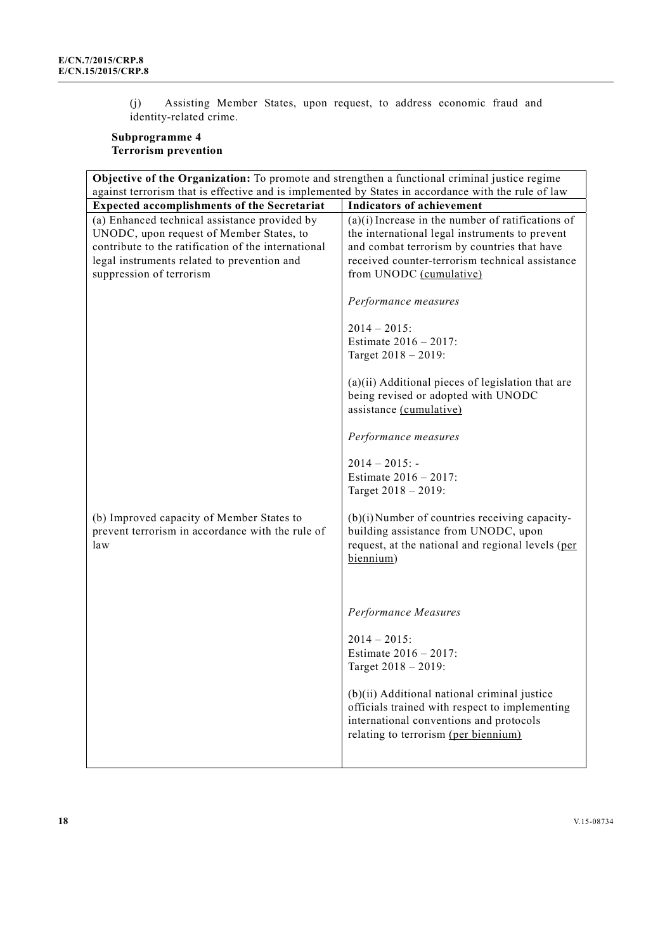(j) Assisting Member States, upon request, to address economic fraud and identity-related crime.

# **Subprogramme 4 Terrorism prevention**

| <b>Objective of the Organization:</b> To promote and strengthen a functional criminal justice regime                                                                                                                        |                                                                                                                                                                                                                                                                                                                                                                                                                                                                                                     |
|-----------------------------------------------------------------------------------------------------------------------------------------------------------------------------------------------------------------------------|-----------------------------------------------------------------------------------------------------------------------------------------------------------------------------------------------------------------------------------------------------------------------------------------------------------------------------------------------------------------------------------------------------------------------------------------------------------------------------------------------------|
| against terrorism that is effective and is implemented by States in accordance with the rule of law                                                                                                                         |                                                                                                                                                                                                                                                                                                                                                                                                                                                                                                     |
| <b>Expected accomplishments of the Secretariat</b>                                                                                                                                                                          | <b>Indicators of achievement</b>                                                                                                                                                                                                                                                                                                                                                                                                                                                                    |
| (a) Enhanced technical assistance provided by<br>UNODC, upon request of Member States, to<br>contribute to the ratification of the international<br>legal instruments related to prevention and<br>suppression of terrorism | $(a)(i)$ Increase in the number of ratifications of<br>the international legal instruments to prevent<br>and combat terrorism by countries that have<br>received counter-terrorism technical assistance<br>from UNODC (cumulative)<br>Performance measures<br>$2014 - 2015$ :<br>Estimate 2016 - 2017:<br>Target 2018 - 2019:<br>$(a)(ii)$ Additional pieces of legislation that are<br>being revised or adopted with UNODC<br>assistance (cumulative)<br>Performance measures<br>$2014 - 2015$ : - |
| (b) Improved capacity of Member States to<br>prevent terrorism in accordance with the rule of<br>law                                                                                                                        | Estimate 2016 - 2017:<br>Target 2018 - 2019:<br>$(b)(i)$ Number of countries receiving capacity-<br>building assistance from UNODC, upon<br>request, at the national and regional levels (per<br>biennium)<br>Performance Measures<br>$2014 - 2015$ :<br>Estimate 2016 - 2017:<br>Target 2018 - 2019:<br>(b)(ii) Additional national criminal justice<br>officials trained with respect to implementing<br>international conventions and protocols<br>relating to terrorism (per biennium)          |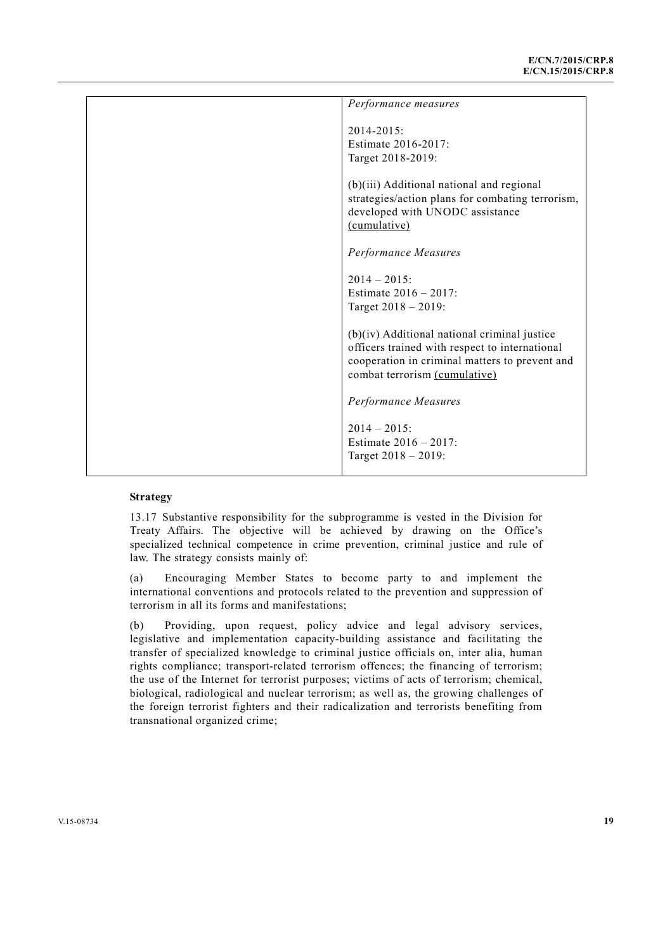| Performance measures                                                                                                                                                                |
|-------------------------------------------------------------------------------------------------------------------------------------------------------------------------------------|
| $2014 - 2015$<br>Estimate 2016-2017:<br>Target 2018-2019:                                                                                                                           |
| (b)(iii) Additional national and regional<br>strategies/action plans for combating terrorism,<br>developed with UNODC assistance<br>(cumulative)                                    |
| Performance Measures                                                                                                                                                                |
| $2014 - 2015$<br>Estimate $2016 - 2017$ :<br>Target $2018 - 2019$ :                                                                                                                 |
| $(b)(iv)$ Additional national criminal justice<br>officers trained with respect to international<br>cooperation in criminal matters to prevent and<br>combat terrorism (cumulative) |
| Performance Measures                                                                                                                                                                |
| $2014 - 2015$<br>Estimate $2016 - 2017$ :<br>Target 2018 - 2019:                                                                                                                    |

13.17 Substantive responsibility for the subprogramme is vested in the Division for Treaty Affairs. The objective will be achieved by drawing on the Office's specialized technical competence in crime prevention, criminal justice and rule of law. The strategy consists mainly of:

(a) Encouraging Member States to become party to and implement the international conventions and protocols related to the prevention and suppression of terrorism in all its forms and manifestations;

(b) Providing, upon request, policy advice and legal advisory services, legislative and implementation capacity-building assistance and facilitating the transfer of specialized knowledge to criminal justice officials on, inter alia, human rights compliance; transport-related terrorism offences; the financing of terrorism; the use of the Internet for terrorist purposes; victims of acts of terrorism; chemical, biological, radiological and nuclear terrorism; as well as, the growing challenges of the foreign terrorist fighters and their radicalization and terrorists benefiting from transnational organized crime;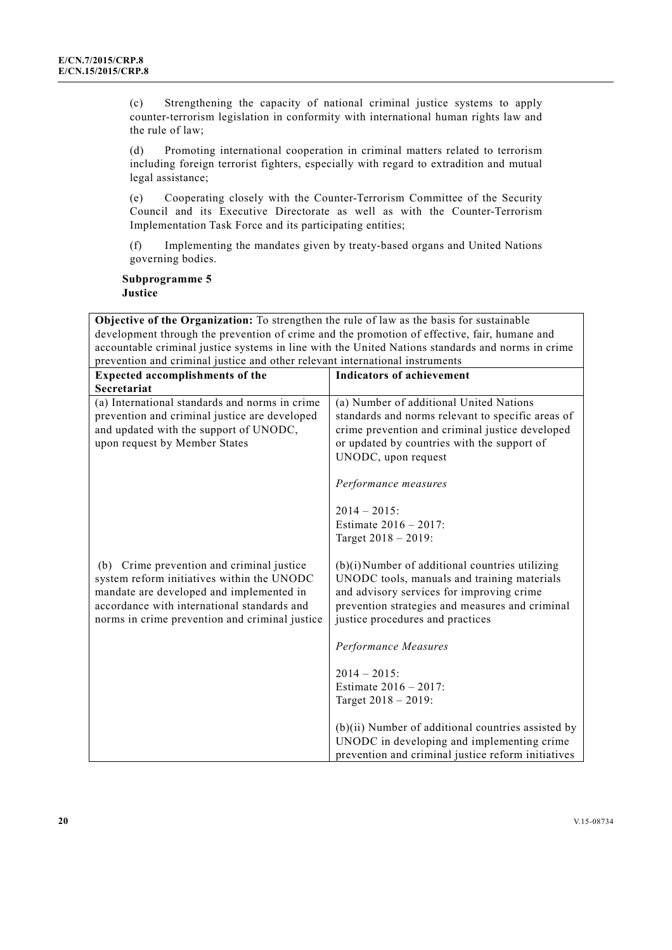(c) Strengthening the capacity of national criminal justice systems to apply counter-terrorism legislation in conformity with international human rights law and the rule of law;

(d) Promoting international cooperation in criminal matters related to terrorism including foreign terrorist fighters, especially with regard to extradition and mutual legal assistance;

(e) Cooperating closely with the Counter-Terrorism Committee of the Security Council and its Executive Directorate as well as with the Counter-Terrorism Implementation Task Force and its participating entities;

(f) Implementing the mandates given by treaty-based organs and United Nations governing bodies.

**Subprogramme 5 Justice** 

**Objective of the Organization:** To strengthen the rule of law as the basis for sustainable development through the prevention of crime and the promotion of effective, fair, humane and accountable criminal justice systems in line with the United Nations standards and norms in crime prevention and criminal justice and other relevant international instruments

| <b>Expected accomplishments of the</b>                                                                                                                                                                                               | <b>Indicators of achievement</b>                                                                                                                                                                                                   |
|--------------------------------------------------------------------------------------------------------------------------------------------------------------------------------------------------------------------------------------|------------------------------------------------------------------------------------------------------------------------------------------------------------------------------------------------------------------------------------|
| <b>Secretariat</b>                                                                                                                                                                                                                   |                                                                                                                                                                                                                                    |
| (a) International standards and norms in crime<br>prevention and criminal justice are developed<br>and updated with the support of UNODC,<br>upon request by Member States                                                           | (a) Number of additional United Nations<br>standards and norms relevant to specific areas of<br>crime prevention and criminal justice developed<br>or updated by countries with the support of<br>UNODC, upon request              |
|                                                                                                                                                                                                                                      | Performance measures                                                                                                                                                                                                               |
|                                                                                                                                                                                                                                      | $2014 - 2015$<br>Estimate $2016 - 2017$ :<br>Target 2018 - 2019:                                                                                                                                                                   |
| (b) Crime prevention and criminal justice<br>system reform initiatives within the UNODC<br>mandate are developed and implemented in<br>accordance with international standards and<br>norms in crime prevention and criminal justice | (b)(i) Number of additional countries utilizing<br>UNODC tools, manuals and training materials<br>and advisory services for improving crime<br>prevention strategies and measures and criminal<br>justice procedures and practices |
|                                                                                                                                                                                                                                      | Performance Measures                                                                                                                                                                                                               |
|                                                                                                                                                                                                                                      | $2014 - 2015$<br>Estimate $2016 - 2017$ :<br>Target 2018 - 2019:                                                                                                                                                                   |
|                                                                                                                                                                                                                                      | $(b)(ii)$ Number of additional countries assisted by<br>UNODC in developing and implementing crime<br>prevention and criminal justice reform initiatives                                                                           |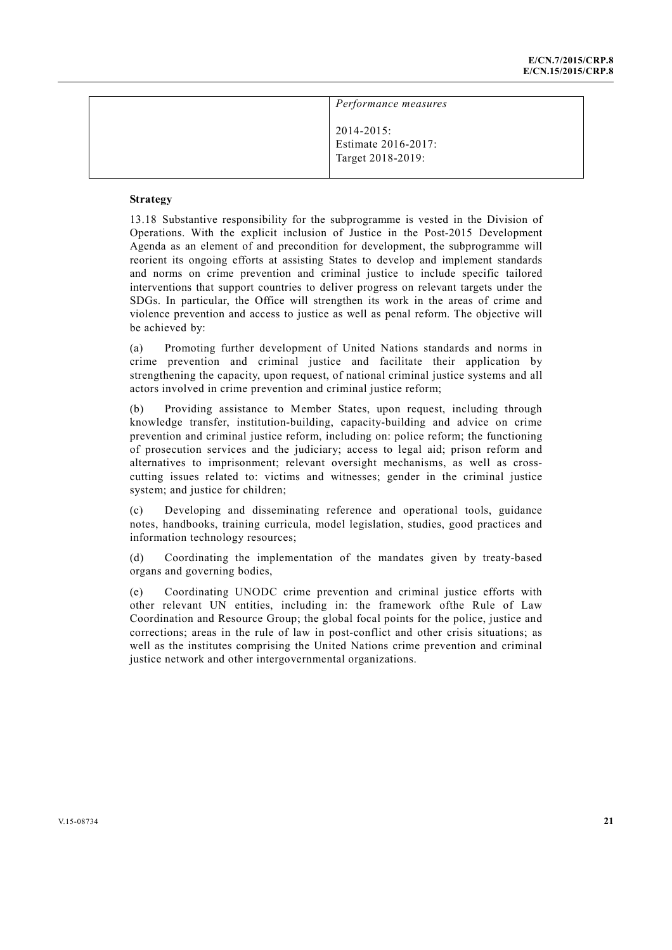| Performance measures                                        |  |
|-------------------------------------------------------------|--|
| $2014 - 2015$ :<br>Estimate 2016-2017:<br>Target 2018-2019: |  |

13.18 Substantive responsibility for the subprogramme is vested in the Division of Operations. With the explicit inclusion of Justice in the Post-2015 Development Agenda as an element of and precondition for development, the subprogramme will reorient its ongoing efforts at assisting States to develop and implement standards and norms on crime prevention and criminal justice to include specific tailored interventions that support countries to deliver progress on relevant targets under the SDGs. In particular, the Office will strengthen its work in the areas of crime and violence prevention and access to justice as well as penal reform. The objective will be achieved by:

(a) Promoting further development of United Nations standards and norms in crime prevention and criminal justice and facilitate their application by strengthening the capacity, upon request, of national criminal justice systems and all actors involved in crime prevention and criminal justice reform;

(b) Providing assistance to Member States, upon request, including through knowledge transfer, institution-building, capacity-building and advice on crime prevention and criminal justice reform, including on: police reform; the functioning of prosecution services and the judiciary; access to legal aid; prison reform and alternatives to imprisonment; relevant oversight mechanisms, as well as crosscutting issues related to: victims and witnesses; gender in the criminal justice system; and justice for children;

(c) Developing and disseminating reference and operational tools, guidance notes, handbooks, training curricula, model legislation, studies, good practices and information technology resources;

(d) Coordinating the implementation of the mandates given by treaty-based organs and governing bodies,

(e) Coordinating UNODC crime prevention and criminal justice efforts with other relevant UN entities, including in: the framework ofthe Rule of Law Coordination and Resource Group; the global focal points for the police, justice and corrections; areas in the rule of law in post-conflict and other crisis situations; as well as the institutes comprising the United Nations crime prevention and criminal justice network and other intergovernmental organizations.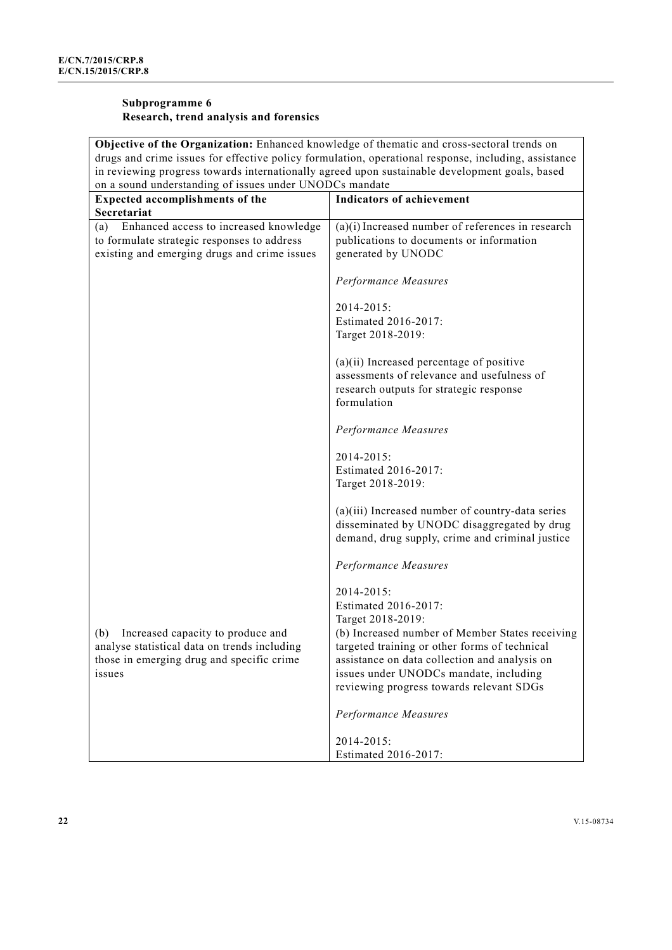# **Subprogramme 6 Research, trend analysis and forensics**

| Objective of the Organization: Enhanced knowledge of thematic and cross-sectoral trends on           |                                                                                                                                                      |
|------------------------------------------------------------------------------------------------------|------------------------------------------------------------------------------------------------------------------------------------------------------|
| drugs and crime issues for effective policy formulation, operational response, including, assistance |                                                                                                                                                      |
|                                                                                                      | in reviewing progress towards internationally agreed upon sustainable development goals, based                                                       |
| on a sound understanding of issues under UNODCs mandate                                              |                                                                                                                                                      |
| <b>Expected accomplishments of the</b>                                                               | <b>Indicators of achievement</b>                                                                                                                     |
| Secretariat                                                                                          |                                                                                                                                                      |
| Enhanced access to increased knowledge<br>(a)                                                        | $(a)(i)$ Increased number of references in research                                                                                                  |
| to formulate strategic responses to address                                                          | publications to documents or information                                                                                                             |
| existing and emerging drugs and crime issues                                                         | generated by UNODC                                                                                                                                   |
|                                                                                                      | Performance Measures                                                                                                                                 |
|                                                                                                      |                                                                                                                                                      |
|                                                                                                      | 2014-2015:                                                                                                                                           |
|                                                                                                      | Estimated 2016-2017:                                                                                                                                 |
|                                                                                                      | Target 2018-2019:                                                                                                                                    |
|                                                                                                      | $(a)(ii)$ Increased percentage of positive                                                                                                           |
|                                                                                                      | assessments of relevance and usefulness of                                                                                                           |
|                                                                                                      | research outputs for strategic response                                                                                                              |
|                                                                                                      | formulation                                                                                                                                          |
|                                                                                                      | Performance Measures                                                                                                                                 |
|                                                                                                      | 2014-2015:                                                                                                                                           |
|                                                                                                      | Estimated 2016-2017:                                                                                                                                 |
|                                                                                                      | Target 2018-2019:                                                                                                                                    |
|                                                                                                      |                                                                                                                                                      |
|                                                                                                      | $(a)(iii)$ Increased number of country-data series<br>disseminated by UNODC disaggregated by drug<br>demand, drug supply, crime and criminal justice |
|                                                                                                      | Performance Measures                                                                                                                                 |
|                                                                                                      | 2014-2015:<br>Estimated 2016-2017:<br>Target 2018-2019:                                                                                              |
| (b) Increased capacity to produce and                                                                | (b) Increased number of Member States receiving                                                                                                      |
| analyse statistical data on trends including                                                         | targeted training or other forms of technical                                                                                                        |
| those in emerging drug and specific crime                                                            | assistance on data collection and analysis on                                                                                                        |
| issues                                                                                               | issues under UNODCs mandate, including                                                                                                               |
|                                                                                                      | reviewing progress towards relevant SDGs                                                                                                             |
|                                                                                                      | Performance Measures                                                                                                                                 |
|                                                                                                      | 2014-2015:                                                                                                                                           |
|                                                                                                      | Estimated 2016-2017:                                                                                                                                 |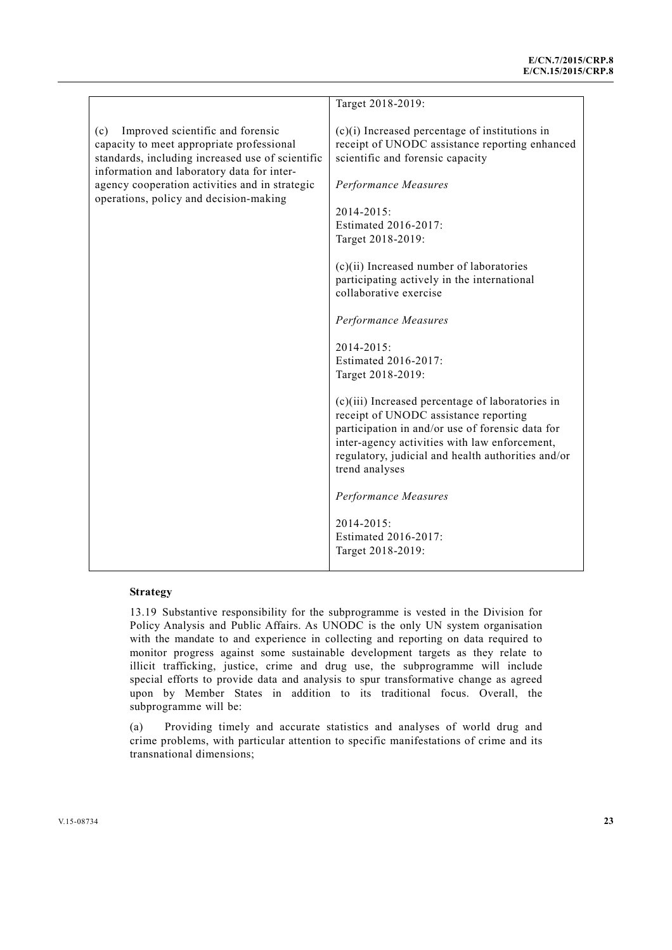|                                                                                                                                                                                                                                                                                    | Target 2018-2019:                                                                                                                                                                                                                                                        |
|------------------------------------------------------------------------------------------------------------------------------------------------------------------------------------------------------------------------------------------------------------------------------------|--------------------------------------------------------------------------------------------------------------------------------------------------------------------------------------------------------------------------------------------------------------------------|
| Improved scientific and forensic<br>(c)<br>capacity to meet appropriate professional<br>standards, including increased use of scientific<br>information and laboratory data for inter-<br>agency cooperation activities and in strategic<br>operations, policy and decision-making | $(c)(i)$ Increased percentage of institutions in<br>receipt of UNODC assistance reporting enhanced<br>scientific and forensic capacity<br>Performance Measures                                                                                                           |
|                                                                                                                                                                                                                                                                                    | 2014-2015:                                                                                                                                                                                                                                                               |
|                                                                                                                                                                                                                                                                                    | Estimated 2016-2017:                                                                                                                                                                                                                                                     |
|                                                                                                                                                                                                                                                                                    | Target 2018-2019:                                                                                                                                                                                                                                                        |
|                                                                                                                                                                                                                                                                                    | $(c)(ii)$ Increased number of laboratories<br>participating actively in the international<br>collaborative exercise                                                                                                                                                      |
|                                                                                                                                                                                                                                                                                    | Performance Measures                                                                                                                                                                                                                                                     |
|                                                                                                                                                                                                                                                                                    | 2014-2015:<br>Estimated 2016-2017:<br>Target 2018-2019:                                                                                                                                                                                                                  |
|                                                                                                                                                                                                                                                                                    | $(c)(iii)$ Increased percentage of laboratories in<br>receipt of UNODC assistance reporting<br>participation in and/or use of forensic data for<br>inter-agency activities with law enforcement,<br>regulatory, judicial and health authorities and/or<br>trend analyses |
|                                                                                                                                                                                                                                                                                    | Performance Measures                                                                                                                                                                                                                                                     |
|                                                                                                                                                                                                                                                                                    | 2014-2015:<br>Estimated 2016-2017:<br>Target 2018-2019:                                                                                                                                                                                                                  |

13.19 Substantive responsibility for the subprogramme is vested in the Division for Policy Analysis and Public Affairs. As UNODC is the only UN system organisation with the mandate to and experience in collecting and reporting on data required to monitor progress against some sustainable development targets as they relate to illicit trafficking, justice, crime and drug use, the subprogramme will include special efforts to provide data and analysis to spur transformative change as agreed upon by Member States in addition to its traditional focus. Overall, the subprogramme will be:

(a) Providing timely and accurate statistics and analyses of world drug and crime problems, with particular attention to specific manifestations of crime and its transnational dimensions;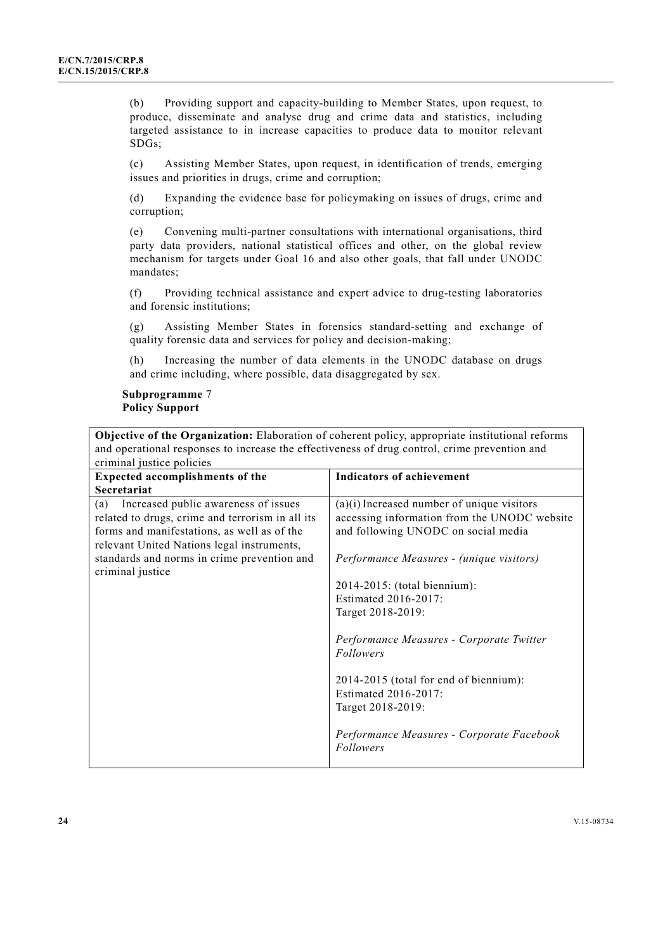(b) Providing support and capacity-building to Member States, upon request, to produce, disseminate and analyse drug and crime data and statistics, including targeted assistance to in increase capacities to produce data to monitor relevant SDGs;

(c) Assisting Member States, upon request, in identification of trends, emerging issues and priorities in drugs, crime and corruption;

(d) Expanding the evidence base for policymaking on issues of drugs, crime and corruption;

(e) Convening multi-partner consultations with international organisations, third party data providers, national statistical offices and other, on the global review mechanism for targets under Goal 16 and also other goals, that fall under UNODC mandates;

(f) Providing technical assistance and expert advice to drug-testing laboratories and forensic institutions;

(g) Assisting Member States in forensics standard-setting and exchange of quality forensic data and services for policy and decision-making;

(h) Increasing the number of data elements in the UNODC database on drugs and crime including, where possible, data disaggregated by sex.

**Subprogramme** 7 **Policy Support** 

**Objective of the Organization:** Elaboration of coherent policy, appropriate institutional reforms and operational responses to increase the effectiveness of drug control, crime prevention and criminal justice policies

| criminal justice policies                        |                                              |
|--------------------------------------------------|----------------------------------------------|
| <b>Expected accomplishments of the</b>           | <b>Indicators of achievement</b>             |
| Secretariat                                      |                                              |
| Increased public awareness of issues<br>(a)      | $(a)(i)$ Increased number of unique visitors |
| related to drugs, crime and terrorism in all its | accessing information from the UNODC website |
| forms and manifestations, as well as of the      | and following UNODC on social media          |
| relevant United Nations legal instruments,       |                                              |
| standards and norms in crime prevention and      | Performance Measures - (unique visitors)     |
| criminal justice                                 |                                              |
|                                                  | 2014-2015: (total biennium):                 |
|                                                  | Estimated 2016-2017:                         |
|                                                  | Target 2018-2019:                            |
|                                                  |                                              |
|                                                  | Performance Measures - Corporate Twitter     |
|                                                  | Followers                                    |
|                                                  |                                              |
|                                                  | 2014-2015 (total for end of biennium):       |
|                                                  | Estimated 2016-2017:                         |
|                                                  | Target 2018-2019:                            |
|                                                  | Performance Measures - Corporate Facebook    |
|                                                  | Followers                                    |
|                                                  |                                              |
|                                                  |                                              |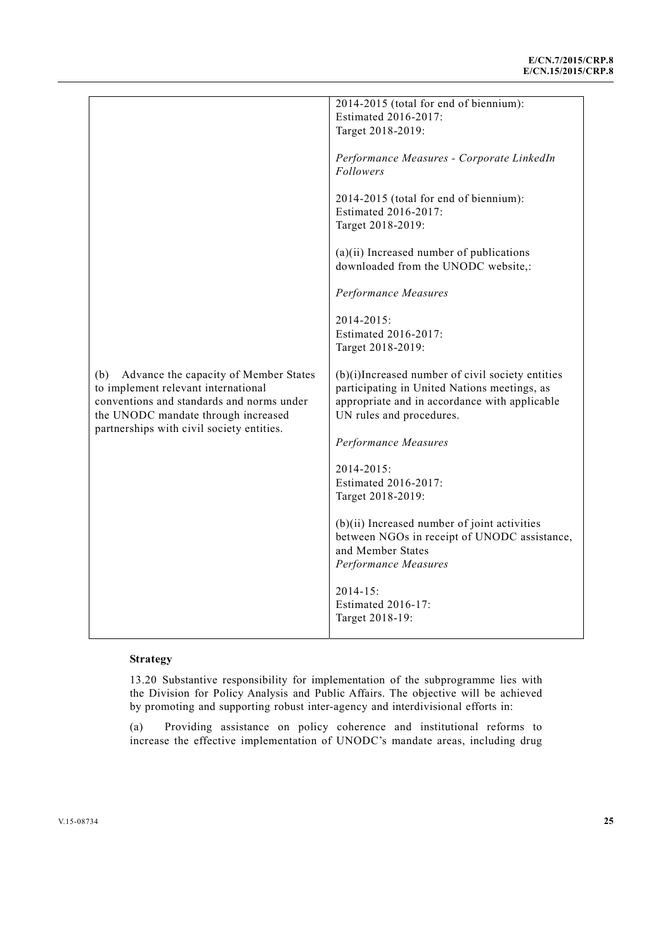|                                                                                                                                                                         | 2014-2015 (total for end of biennium):<br>Estimated 2016-2017:<br>Target 2018-2019:                                                                                           |
|-------------------------------------------------------------------------------------------------------------------------------------------------------------------------|-------------------------------------------------------------------------------------------------------------------------------------------------------------------------------|
|                                                                                                                                                                         | Performance Measures - Corporate LinkedIn<br>Followers                                                                                                                        |
|                                                                                                                                                                         | 2014-2015 (total for end of biennium):<br>Estimated 2016-2017:<br>Target 2018-2019:                                                                                           |
|                                                                                                                                                                         | $(a)(ii)$ Increased number of publications<br>downloaded from the UNODC website,:                                                                                             |
|                                                                                                                                                                         | Performance Measures                                                                                                                                                          |
|                                                                                                                                                                         | 2014-2015:<br>Estimated 2016-2017:<br>Target 2018-2019:                                                                                                                       |
| (b)<br>Advance the capacity of Member States<br>to implement relevant international<br>conventions and standards and norms under<br>the UNODC mandate through increased | (b)(i)Increased number of civil society entities<br>participating in United Nations meetings, as<br>appropriate and in accordance with applicable<br>UN rules and procedures. |
| partnerships with civil society entities.                                                                                                                               | Performance Measures                                                                                                                                                          |
|                                                                                                                                                                         | 2014-2015:<br>Estimated 2016-2017:<br>Target 2018-2019:                                                                                                                       |
|                                                                                                                                                                         | $(b)(ii)$ Increased number of joint activities<br>between NGOs in receipt of UNODC assistance,<br>and Member States<br>Performance Measures                                   |
|                                                                                                                                                                         | $2014 - 15$ :<br><b>Estimated 2016-17:</b><br>Target 2018-19:                                                                                                                 |

13.20 Substantive responsibility for implementation of the subprogramme lies with the Division for Policy Analysis and Public Affairs. The objective will be achieved by promoting and supporting robust inter-agency and interdivisional efforts in:

(a) Providing assistance on policy coherence and institutional reforms to increase the effective implementation of UNODC's mandate areas, including drug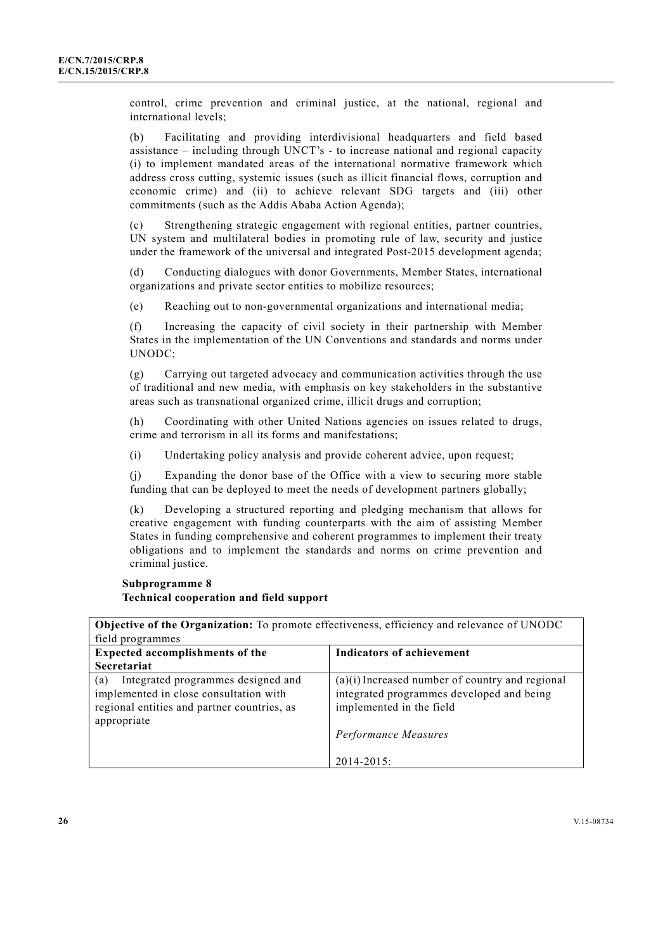control, crime prevention and criminal justice, at the national, regional and international levels;

(b) Facilitating and providing interdivisional headquarters and field based assistance – including through UNCT's - to increase national and regional capacity (i) to implement mandated areas of the international normative framework which address cross cutting, systemic issues (such as illicit financial flows, corruption and economic crime) and (ii) to achieve relevant SDG targets and (iii) other commitments (such as the Addis Ababa Action Agenda);

(c) Strengthening strategic engagement with regional entities, partner countries, UN system and multilateral bodies in promoting rule of law, security and justice under the framework of the universal and integrated Post-2015 development agenda;

(d) Conducting dialogues with donor Governments, Member States, international organizations and private sector entities to mobilize resources;

(e) Reaching out to non-governmental organizations and international media;

(f) Increasing the capacity of civil society in their partnership with Member States in the implementation of the UN Conventions and standards and norms under UNODC;

(g) Carrying out targeted advocacy and communication activities through the use of traditional and new media, with emphasis on key stakeholders in the substantive areas such as transnational organized crime, illicit drugs and corruption;

(h) Coordinating with other United Nations agencies on issues related to drugs, crime and terrorism in all its forms and manifestations;

(i) Undertaking policy analysis and provide coherent advice, upon request;

(j) Expanding the donor base of the Office with a view to securing more stable funding that can be deployed to meet the needs of development partners globally;

(k) Developing a structured reporting and pledging mechanism that allows for creative engagement with funding counterparts with the aim of assisting Member States in funding comprehensive and coherent programmes to implement their treaty obligations and to implement the standards and norms on crime prevention and criminal justice.

# **Subprogramme 8 Technical cooperation and field support**

| <b>Objective of the Organization:</b> To promote effectiveness, efficiency and relevance of UNODC                                                 |                                                                                                                                                    |
|---------------------------------------------------------------------------------------------------------------------------------------------------|----------------------------------------------------------------------------------------------------------------------------------------------------|
| field programmes                                                                                                                                  |                                                                                                                                                    |
| <b>Expected accomplishments of the</b>                                                                                                            | Indicators of achievement                                                                                                                          |
| Secretariat                                                                                                                                       |                                                                                                                                                    |
| Integrated programmes designed and<br>(a)<br>implemented in close consultation with<br>regional entities and partner countries, as<br>appropriate | $(a)(i)$ Increased number of country and regional<br>integrated programmes developed and being<br>implemented in the field<br>Performance Measures |
|                                                                                                                                                   | $2014 - 2015$ :                                                                                                                                    |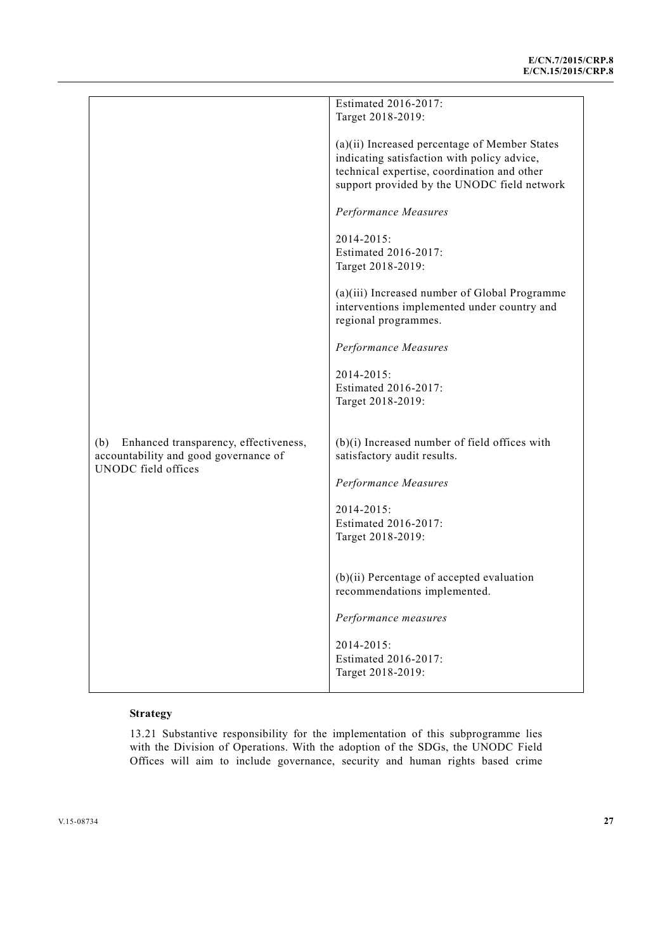|                                              | Estimated 2016-2017:                            |
|----------------------------------------------|-------------------------------------------------|
|                                              | Target 2018-2019:                               |
|                                              |                                                 |
|                                              | (a)(ii) Increased percentage of Member States   |
|                                              | indicating satisfaction with policy advice,     |
|                                              | technical expertise, coordination and other     |
|                                              |                                                 |
|                                              | support provided by the UNODC field network     |
|                                              |                                                 |
|                                              | Performance Measures                            |
|                                              |                                                 |
|                                              | 2014-2015:                                      |
|                                              | Estimated 2016-2017:                            |
|                                              | Target 2018-2019:                               |
|                                              |                                                 |
|                                              | (a)(iii) Increased number of Global Programme   |
|                                              | interventions implemented under country and     |
|                                              | regional programmes.                            |
|                                              |                                                 |
|                                              | Performance Measures                            |
|                                              |                                                 |
|                                              | 2014-2015:                                      |
|                                              | Estimated 2016-2017:                            |
|                                              | Target 2018-2019:                               |
|                                              |                                                 |
|                                              |                                                 |
|                                              |                                                 |
| Enhanced transparency, effectiveness,<br>(b) | $(b)(i)$ Increased number of field offices with |
| accountability and good governance of        | satisfactory audit results.                     |
| <b>UNODC</b> field offices                   |                                                 |
|                                              | Performance Measures                            |
|                                              |                                                 |
|                                              | 2014-2015:                                      |
|                                              | Estimated 2016-2017:                            |
|                                              | Target 2018-2019:                               |
|                                              |                                                 |
|                                              |                                                 |
|                                              | $(b)(ii)$ Percentage of accepted evaluation     |
|                                              | recommendations implemented.                    |
|                                              |                                                 |
|                                              | Performance measures                            |
|                                              |                                                 |
|                                              | 2014-2015:                                      |
|                                              | Estimated 2016-2017:                            |
|                                              | Target 2018-2019:                               |
|                                              |                                                 |

13.21 Substantive responsibility for the implementation of this subprogramme lies with the Division of Operations. With the adoption of the SDGs, the UNODC Field Offices will aim to include governance, security and human rights based crime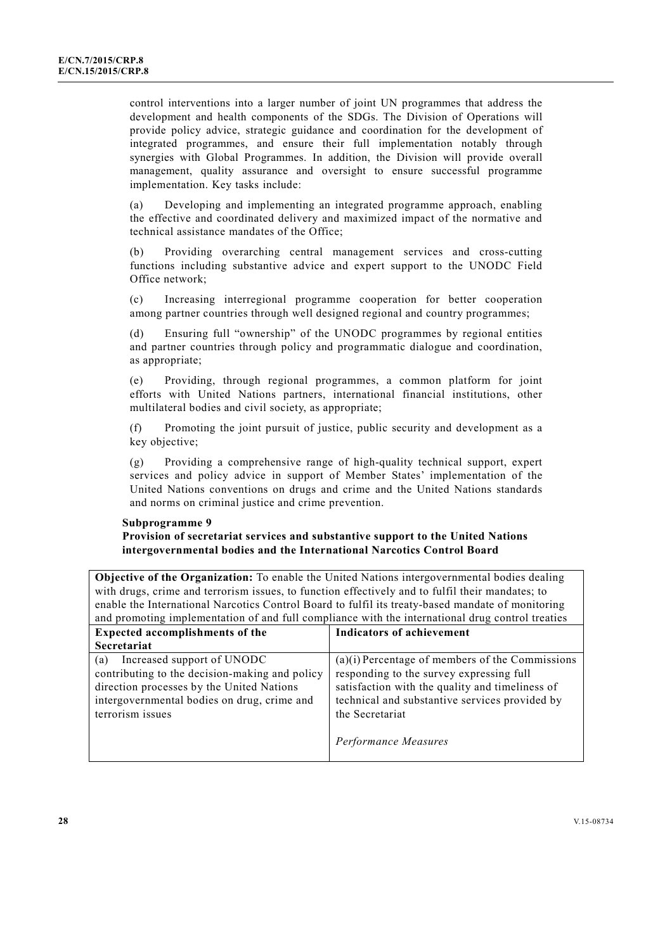control interventions into a larger number of joint UN programmes that address the development and health components of the SDGs. The Division of Operations will provide policy advice, strategic guidance and coordination for the development of integrated programmes, and ensure their full implementation notably through synergies with Global Programmes. In addition, the Division will provide overall management, quality assurance and oversight to ensure successful programme implementation. Key tasks include:

(a) Developing and implementing an integrated programme approach, enabling the effective and coordinated delivery and maximized impact of the normative and technical assistance mandates of the Office;

(b) Providing overarching central management services and cross-cutting functions including substantive advice and expert support to the UNODC Field Office network;

(c) Increasing interregional programme cooperation for better cooperation among partner countries through well designed regional and country programmes;

(d) Ensuring full "ownership" of the UNODC programmes by regional entities and partner countries through policy and programmatic dialogue and coordination, as appropriate;

(e) Providing, through regional programmes, a common platform for joint efforts with United Nations partners, international financial institutions, other multilateral bodies and civil society, as appropriate;

(f) Promoting the joint pursuit of justice, public security and development as a key objective;

(g) Providing a comprehensive range of high-quality technical support, expert services and policy advice in support of Member States' implementation of the United Nations conventions on drugs and crime and the United Nations standards and norms on criminal justice and crime prevention.

### **Subprogramme 9**

### **Provision of secretariat services and substantive support to the United Nations intergovernmental bodies and the International Narcotics Control Board**

**Objective of the Organization:** To enable the United Nations intergovernmental bodies dealing with drugs, crime and terrorism issues, to function effectively and to fulfil their mandates; to enable the International Narcotics Control Board to fulfil its treaty-based mandate of monitoring and promoting implementation of and full compliance with the international drug control treaties

| <b>Expected accomplishments of the</b>                                                                                                                                                              | <b>Indicators of achievement</b>                                                                                                                                                                                      |
|-----------------------------------------------------------------------------------------------------------------------------------------------------------------------------------------------------|-----------------------------------------------------------------------------------------------------------------------------------------------------------------------------------------------------------------------|
| <b>Secretariat</b>                                                                                                                                                                                  |                                                                                                                                                                                                                       |
| Increased support of UNODC<br>(a)<br>contributing to the decision-making and policy<br>direction processes by the United Nations<br>intergovernmental bodies on drug, crime and<br>terrorism issues | $(a)(i)$ Percentage of members of the Commissions<br>responding to the survey expressing full<br>satisfaction with the quality and timeliness of<br>technical and substantive services provided by<br>the Secretariat |
|                                                                                                                                                                                                     | Performance Measures                                                                                                                                                                                                  |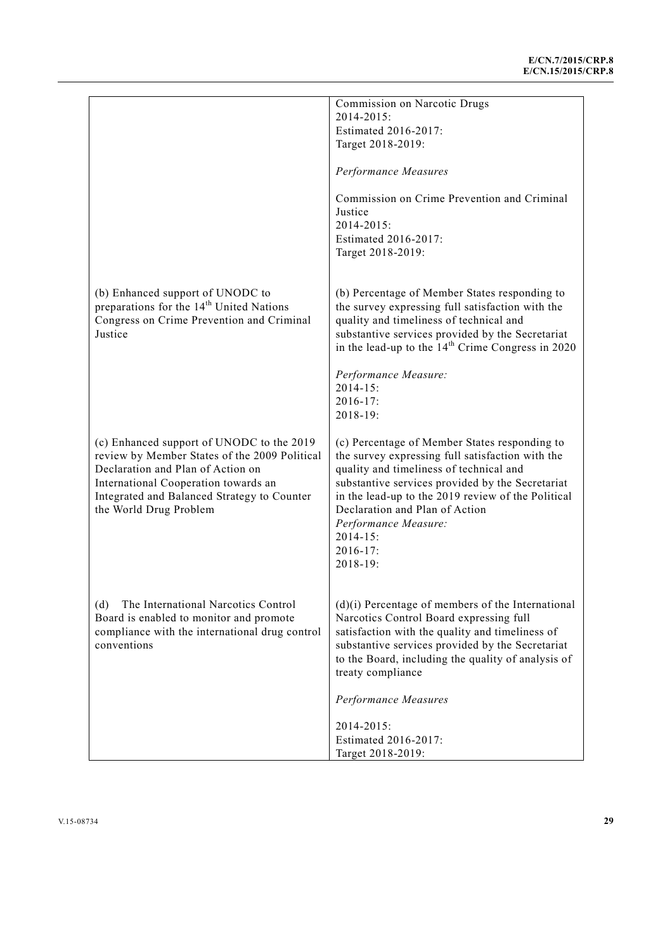| Commission on Narcotic Drugs                                                                                                                                                                                                                                                                                                                              |
|-----------------------------------------------------------------------------------------------------------------------------------------------------------------------------------------------------------------------------------------------------------------------------------------------------------------------------------------------------------|
| 2014-2015:                                                                                                                                                                                                                                                                                                                                                |
| Estimated 2016-2017:                                                                                                                                                                                                                                                                                                                                      |
| Target 2018-2019:                                                                                                                                                                                                                                                                                                                                         |
| Performance Measures                                                                                                                                                                                                                                                                                                                                      |
| Commission on Crime Prevention and Criminal<br>Justice                                                                                                                                                                                                                                                                                                    |
| 2014-2015:<br>Estimated 2016-2017:<br>Target 2018-2019:                                                                                                                                                                                                                                                                                                   |
|                                                                                                                                                                                                                                                                                                                                                           |
| (b) Percentage of Member States responding to<br>the survey expressing full satisfaction with the<br>quality and timeliness of technical and<br>substantive services provided by the Secretariat<br>in the lead-up to the $14th$ Crime Congress in 2020                                                                                                   |
| Performance Measure:<br>$2014 - 15$ :<br>2016-17:<br>2018-19:                                                                                                                                                                                                                                                                                             |
| (c) Percentage of Member States responding to<br>the survey expressing full satisfaction with the<br>quality and timeliness of technical and<br>substantive services provided by the Secretariat<br>in the lead-up to the 2019 review of the Political<br>Declaration and Plan of Action<br>Performance Measure:<br>$2014 - 15$ :<br>2016-17:<br>2018-19: |
| $(d)(i)$ Percentage of members of the International<br>Narcotics Control Board expressing full<br>satisfaction with the quality and timeliness of<br>substantive services provided by the Secretariat<br>to the Board, including the quality of analysis of<br>treaty compliance                                                                          |
| Performance Measures                                                                                                                                                                                                                                                                                                                                      |
| 2014-2015:                                                                                                                                                                                                                                                                                                                                                |
| Estimated 2016-2017:<br>Target 2018-2019:                                                                                                                                                                                                                                                                                                                 |
|                                                                                                                                                                                                                                                                                                                                                           |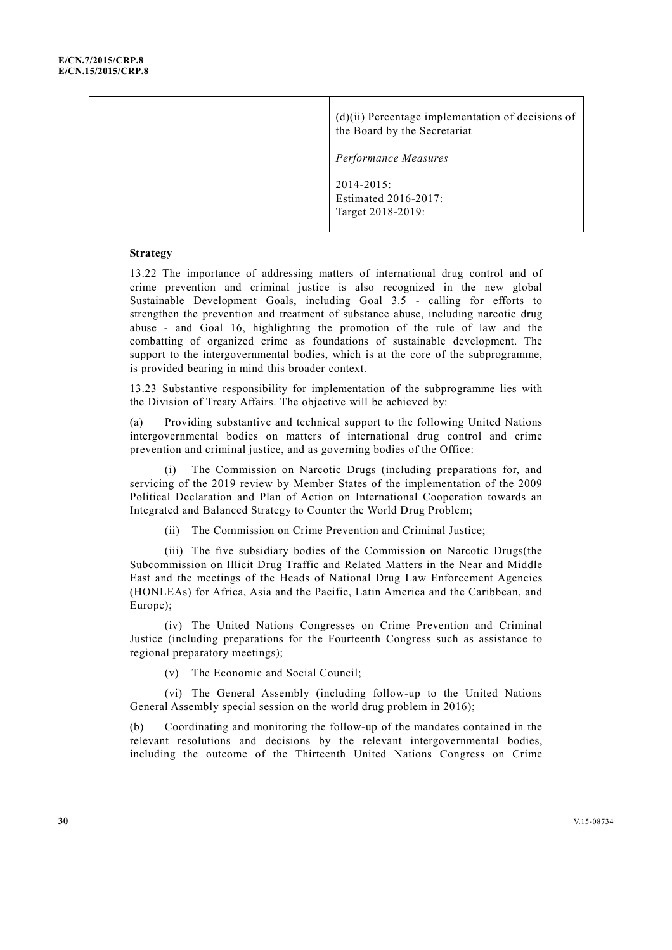|  | $(d)(ii)$ Percentage implementation of decisions of<br>the Board by the Secretariat |  |
|--|-------------------------------------------------------------------------------------|--|
|  | Performance Measures                                                                |  |
|  | $2014 - 2015$ :<br>Estimated 2016-2017:<br>Target 2018-2019:                        |  |

13.22 The importance of addressing matters of international drug control and of crime prevention and criminal justice is also recognized in the new global Sustainable Development Goals, including Goal 3.5 - calling for efforts to strengthen the prevention and treatment of substance abuse, including narcotic drug abuse - and Goal 16, highlighting the promotion of the rule of law and the combatting of organized crime as foundations of sustainable development. The support to the intergovernmental bodies, which is at the core of the subprogramme, is provided bearing in mind this broader context.

13.23 Substantive responsibility for implementation of the subprogramme lies with the Division of Treaty Affairs. The objective will be achieved by:

(a) Providing substantive and technical support to the following United Nations intergovernmental bodies on matters of international drug control and crime prevention and criminal justice, and as governing bodies of the Office:

 (i) The Commission on Narcotic Drugs (including preparations for, and servicing of the 2019 review by Member States of the implementation of the 2009 Political Declaration and Plan of Action on International Cooperation towards an Integrated and Balanced Strategy to Counter the World Drug Problem;

(ii) The Commission on Crime Prevention and Criminal Justice;

 (iii) The five subsidiary bodies of the Commission on Narcotic Drugs(the Subcommission on Illicit Drug Traffic and Related Matters in the Near and Middle East and the meetings of the Heads of National Drug Law Enforcement Agencies (HONLEAs) for Africa, Asia and the Pacific, Latin America and the Caribbean, and Europe);

 (iv) The United Nations Congresses on Crime Prevention and Criminal Justice (including preparations for the Fourteenth Congress such as assistance to regional preparatory meetings);

(v) The Economic and Social Council;

 (vi) The General Assembly (including follow-up to the United Nations General Assembly special session on the world drug problem in 2016);

(b) Coordinating and monitoring the follow-up of the mandates contained in the relevant resolutions and decisions by the relevant intergovernmental bodies, including the outcome of the Thirteenth United Nations Congress on Crime